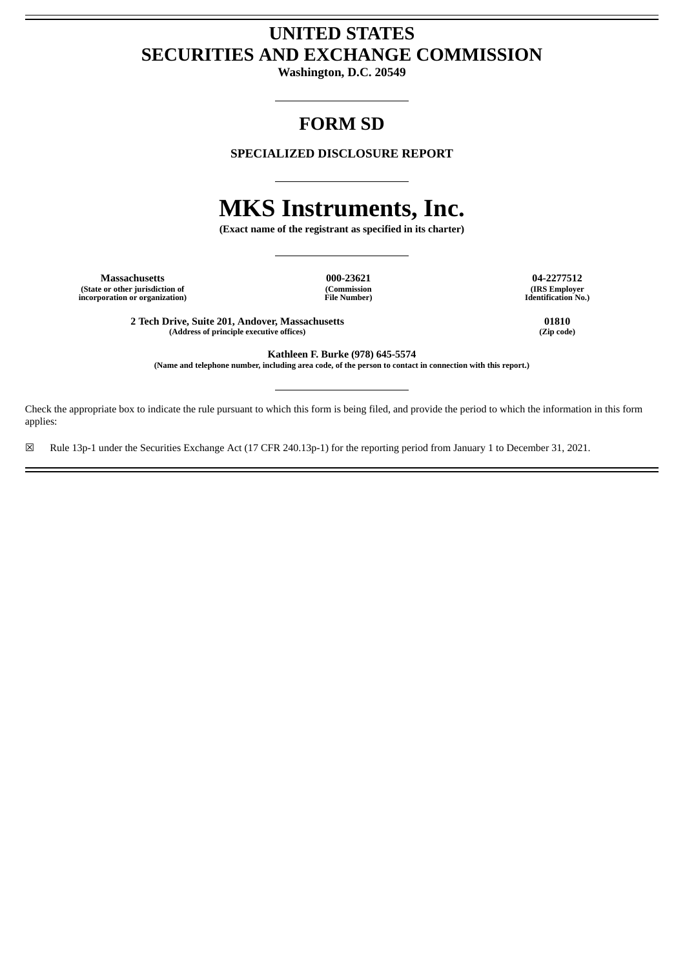# **UNITED STATES SECURITIES AND EXCHANGE COMMISSION**

**Washington, D.C. 20549**

# **FORM SD**

**SPECIALIZED DISCLOSURE REPORT**

# **MKS Instruments, Inc.**

**(Exact name of the registrant as specified in its charter)**

**Massachusetts 000-23621 04-2277512 (State or other jurisdiction of incorporation or organization)**

**(Commission File Number)**

**(IRS Employer Identification No.)**

**2 Tech Drive, Suite 201, Andover, Massachusetts 01810 (Address of principle executive offices) (Zip code)**

**Kathleen F. Burke (978) 645-5574** (Name and telephone number, including area code, of the person to contact in connection with this report.)

Check the appropriate box to indicate the rule pursuant to which this form is being filed, and provide the period to which the information in this form applies:

☒ Rule 13p-1 under the Securities Exchange Act (17 CFR 240.13p-1) for the reporting period from January 1 to December 31, 2021.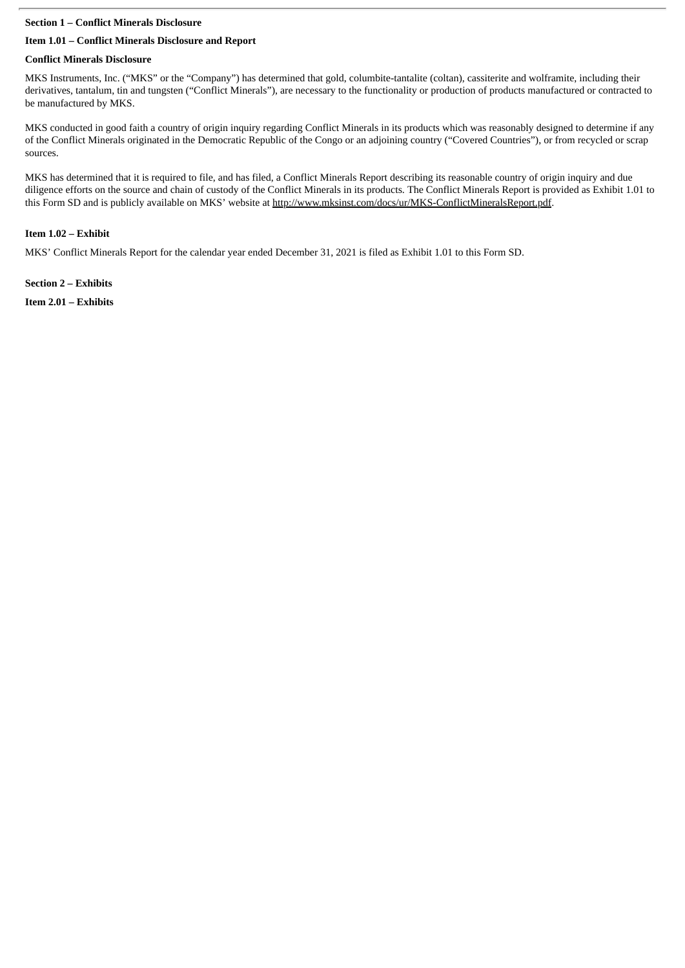# **Section 1 – Conflict Minerals Disclosure**

# **Item 1.01 – Conflict Minerals Disclosure and Report**

# **Conflict Minerals Disclosure**

MKS Instruments, Inc. ("MKS" or the "Company") has determined that gold, columbite-tantalite (coltan), cassiterite and wolframite, including their derivatives, tantalum, tin and tungsten ("Conflict Minerals"), are necessary to the functionality or production of products manufactured or contracted to be manufactured by MKS.

MKS conducted in good faith a country of origin inquiry regarding Conflict Minerals in its products which was reasonably designed to determine if any of the Conflict Minerals originated in the Democratic Republic of the Congo or an adjoining country ("Covered Countries"), or from recycled or scrap sources.

MKS has determined that it is required to file, and has filed, a Conflict Minerals Report describing its reasonable country of origin inquiry and due diligence efforts on the source and chain of custody of the Conflict Minerals in its products. The Conflict Minerals Report is provided as Exhibit 1.01 to this Form SD and is publicly available on MKS' website at http://www.mksinst.com/docs/ur/MKS-ConflictMineralsReport.pdf.

# **Item 1.02 – Exhibit**

MKS' Conflict Minerals Report for the calendar year ended December 31, 2021 is filed as Exhibit 1.01 to this Form SD.

**Section 2 – Exhibits Item 2.01 – Exhibits**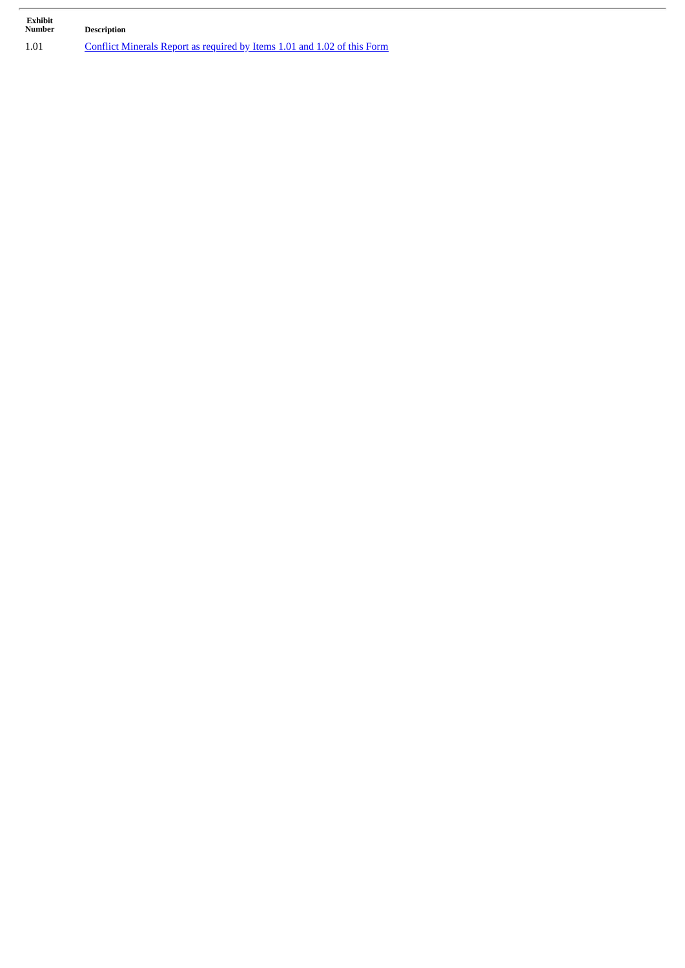| Exhibit<br><b>Number</b> | <b>Description</b>                                                       |
|--------------------------|--------------------------------------------------------------------------|
| 1.01                     | Conflict Minerals Report as required by Items 1.01 and 1.02 of this Form |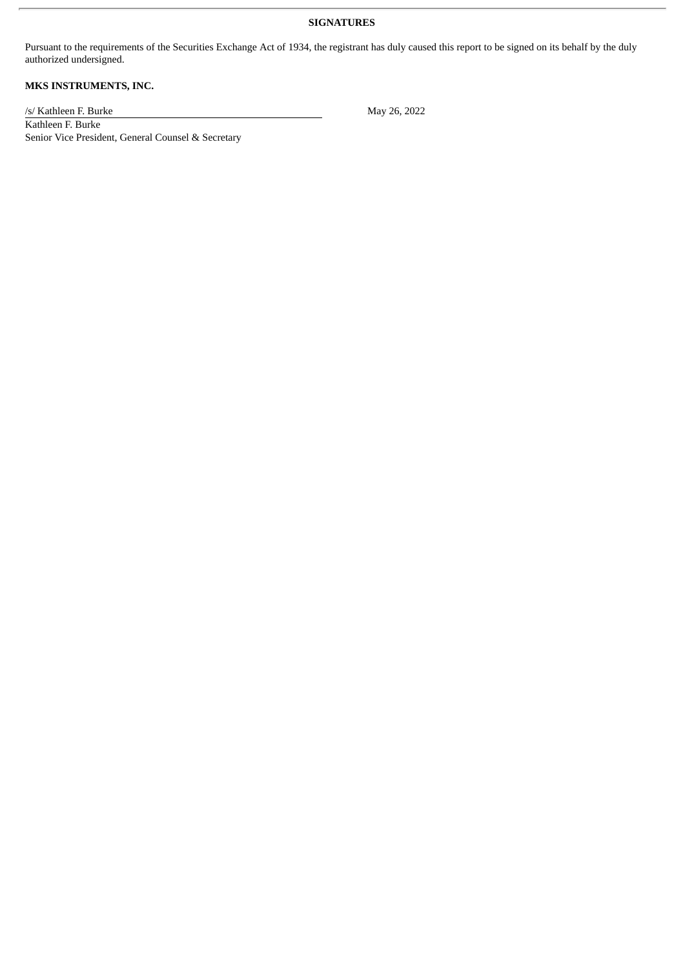# **SIGNATURES**

Pursuant to the requirements of the Securities Exchange Act of 1934, the registrant has duly caused this report to be signed on its behalf by the duly authorized undersigned.

# **MKS INSTRUMENTS, INC.**

/s/ Kathleen F. Burke May 26, 2022

Kathleen F. Burke Senior Vice President, General Counsel & Secretary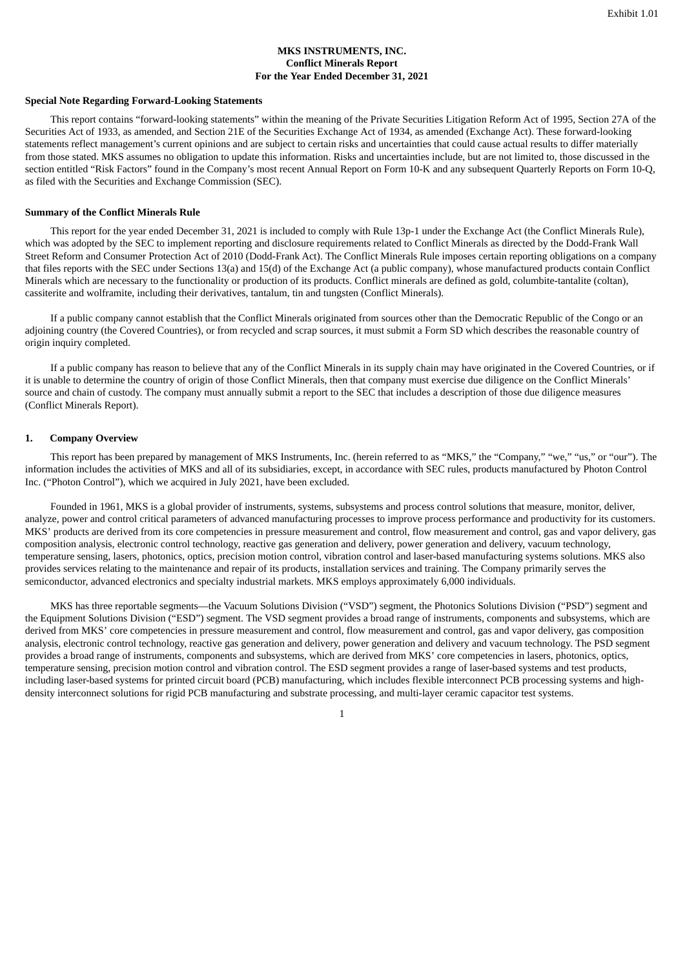# **MKS INSTRUMENTS, INC. Conflict Minerals Report For the Year Ended December 31, 2021**

#### <span id="page-4-0"></span>**Special Note Regarding Forward-Looking Statements**

This report contains "forward-looking statements" within the meaning of the Private Securities Litigation Reform Act of 1995, Section 27A of the Securities Act of 1933, as amended, and Section 21E of the Securities Exchange Act of 1934, as amended (Exchange Act). These forward-looking statements reflect management's current opinions and are subject to certain risks and uncertainties that could cause actual results to differ materially from those stated. MKS assumes no obligation to update this information. Risks and uncertainties include, but are not limited to, those discussed in the section entitled "Risk Factors" found in the Company's most recent Annual Report on Form 10-K and any subsequent Quarterly Reports on Form 10-Q, as filed with the Securities and Exchange Commission (SEC).

#### **Summary of the Conflict Minerals Rule**

This report for the year ended December 31, 2021 is included to comply with Rule 13p-1 under the Exchange Act (the Conflict Minerals Rule), which was adopted by the SEC to implement reporting and disclosure requirements related to Conflict Minerals as directed by the Dodd-Frank Wall Street Reform and Consumer Protection Act of 2010 (Dodd-Frank Act). The Conflict Minerals Rule imposes certain reporting obligations on a company that files reports with the SEC under Sections 13(a) and 15(d) of the Exchange Act (a public company), whose manufactured products contain Conflict Minerals which are necessary to the functionality or production of its products. Conflict minerals are defined as gold, columbite-tantalite (coltan), cassiterite and wolframite, including their derivatives, tantalum, tin and tungsten (Conflict Minerals).

If a public company cannot establish that the Conflict Minerals originated from sources other than the Democratic Republic of the Congo or an adjoining country (the Covered Countries), or from recycled and scrap sources, it must submit a Form SD which describes the reasonable country of origin inquiry completed.

If a public company has reason to believe that any of the Conflict Minerals in its supply chain may have originated in the Covered Countries, or if it is unable to determine the country of origin of those Conflict Minerals, then that company must exercise due diligence on the Conflict Minerals' source and chain of custody. The company must annually submit a report to the SEC that includes a description of those due diligence measures (Conflict Minerals Report).

#### **1. Company Overview**

This report has been prepared by management of MKS Instruments, Inc. (herein referred to as "MKS," the "Company," "we," "us," or "our"). The information includes the activities of MKS and all of its subsidiaries, except, in accordance with SEC rules, products manufactured by Photon Control Inc. ("Photon Control"), which we acquired in July 2021, have been excluded.

Founded in 1961, MKS is a global provider of instruments, systems, subsystems and process control solutions that measure, monitor, deliver, analyze, power and control critical parameters of advanced manufacturing processes to improve process performance and productivity for its customers. MKS' products are derived from its core competencies in pressure measurement and control, flow measurement and control, gas and vapor delivery, gas composition analysis, electronic control technology, reactive gas generation and delivery, power generation and delivery, vacuum technology, temperature sensing, lasers, photonics, optics, precision motion control, vibration control and laser-based manufacturing systems solutions. MKS also provides services relating to the maintenance and repair of its products, installation services and training. The Company primarily serves the semiconductor, advanced electronics and specialty industrial markets. MKS employs approximately 6,000 individuals.

MKS has three reportable segments—the Vacuum Solutions Division ("VSD") segment, the Photonics Solutions Division ("PSD") segment and the Equipment Solutions Division ("ESD") segment. The VSD segment provides a broad range of instruments, components and subsystems, which are derived from MKS' core competencies in pressure measurement and control, flow measurement and control, gas and vapor delivery, gas composition analysis, electronic control technology, reactive gas generation and delivery, power generation and delivery and vacuum technology. The PSD segment provides a broad range of instruments, components and subsystems, which are derived from MKS' core competencies in lasers, photonics, optics, temperature sensing, precision motion control and vibration control. The ESD segment provides a range of laser-based systems and test products, including laser-based systems for printed circuit board (PCB) manufacturing, which includes flexible interconnect PCB processing systems and highdensity interconnect solutions for rigid PCB manufacturing and substrate processing, and multi-layer ceramic capacitor test systems.

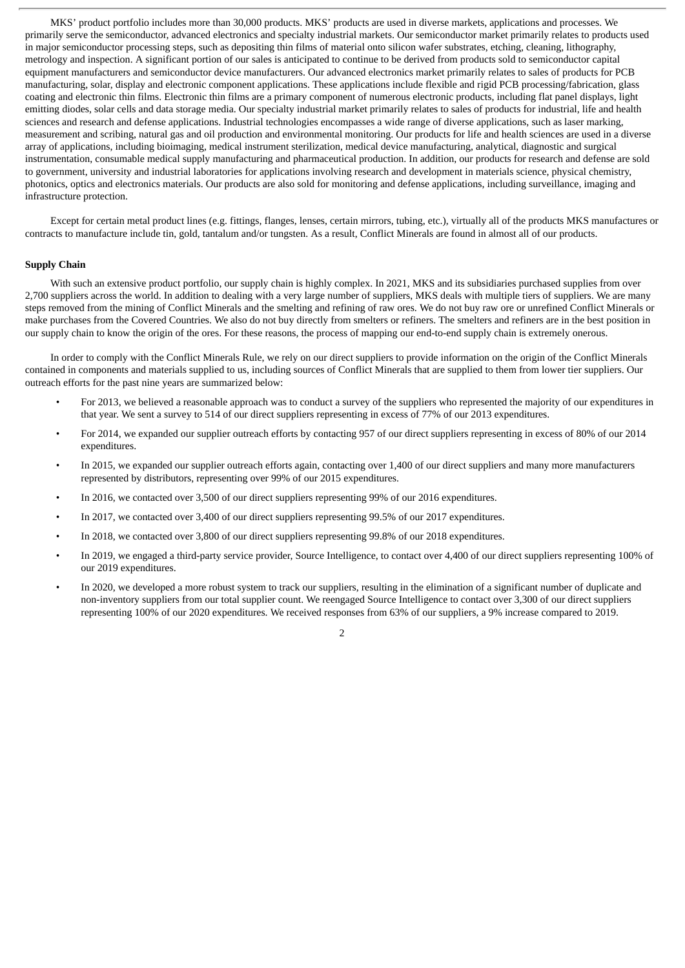MKS' product portfolio includes more than 30,000 products. MKS' products are used in diverse markets, applications and processes. We primarily serve the semiconductor, advanced electronics and specialty industrial markets. Our semiconductor market primarily relates to products used in major semiconductor processing steps, such as depositing thin films of material onto silicon wafer substrates, etching, cleaning, lithography, metrology and inspection. A significant portion of our sales is anticipated to continue to be derived from products sold to semiconductor capital equipment manufacturers and semiconductor device manufacturers. Our advanced electronics market primarily relates to sales of products for PCB manufacturing, solar, display and electronic component applications. These applications include flexible and rigid PCB processing/fabrication, glass coating and electronic thin films. Electronic thin films are a primary component of numerous electronic products, including flat panel displays, light emitting diodes, solar cells and data storage media. Our specialty industrial market primarily relates to sales of products for industrial, life and health sciences and research and defense applications. Industrial technologies encompasses a wide range of diverse applications, such as laser marking, measurement and scribing, natural gas and oil production and environmental monitoring. Our products for life and health sciences are used in a diverse array of applications, including bioimaging, medical instrument sterilization, medical device manufacturing, analytical, diagnostic and surgical instrumentation, consumable medical supply manufacturing and pharmaceutical production. In addition, our products for research and defense are sold to government, university and industrial laboratories for applications involving research and development in materials science, physical chemistry, photonics, optics and electronics materials. Our products are also sold for monitoring and defense applications, including surveillance, imaging and infrastructure protection.

Except for certain metal product lines (e.g. fittings, flanges, lenses, certain mirrors, tubing, etc.), virtually all of the products MKS manufactures or contracts to manufacture include tin, gold, tantalum and/or tungsten. As a result, Conflict Minerals are found in almost all of our products.

# **Supply Chain**

With such an extensive product portfolio, our supply chain is highly complex. In 2021, MKS and its subsidiaries purchased supplies from over 2,700 suppliers across the world. In addition to dealing with a very large number of suppliers, MKS deals with multiple tiers of suppliers. We are many steps removed from the mining of Conflict Minerals and the smelting and refining of raw ores. We do not buy raw ore or unrefined Conflict Minerals or make purchases from the Covered Countries. We also do not buy directly from smelters or refiners. The smelters and refiners are in the best position in our supply chain to know the origin of the ores. For these reasons, the process of mapping our end-to-end supply chain is extremely onerous.

In order to comply with the Conflict Minerals Rule, we rely on our direct suppliers to provide information on the origin of the Conflict Minerals contained in components and materials supplied to us, including sources of Conflict Minerals that are supplied to them from lower tier suppliers. Our outreach efforts for the past nine years are summarized below:

- For 2013, we believed a reasonable approach was to conduct a survey of the suppliers who represented the majority of our expenditures in that year. We sent a survey to 514 of our direct suppliers representing in excess of 77% of our 2013 expenditures.
- For 2014, we expanded our supplier outreach efforts by contacting 957 of our direct suppliers representing in excess of 80% of our 2014 expenditures.
- In 2015, we expanded our supplier outreach efforts again, contacting over 1,400 of our direct suppliers and many more manufacturers represented by distributors, representing over 99% of our 2015 expenditures.
- In 2016, we contacted over 3,500 of our direct suppliers representing 99% of our 2016 expenditures.
- In 2017, we contacted over 3,400 of our direct suppliers representing 99.5% of our 2017 expenditures.
- In 2018, we contacted over 3,800 of our direct suppliers representing 99.8% of our 2018 expenditures.
- In 2019, we engaged a third-party service provider, Source Intelligence, to contact over 4,400 of our direct suppliers representing 100% of our 2019 expenditures.
- In 2020, we developed a more robust system to track our suppliers, resulting in the elimination of a significant number of duplicate and non-inventory suppliers from our total supplier count. We reengaged Source Intelligence to contact over 3,300 of our direct suppliers representing 100% of our 2020 expenditures. We received responses from 63% of our suppliers, a 9% increase compared to 2019.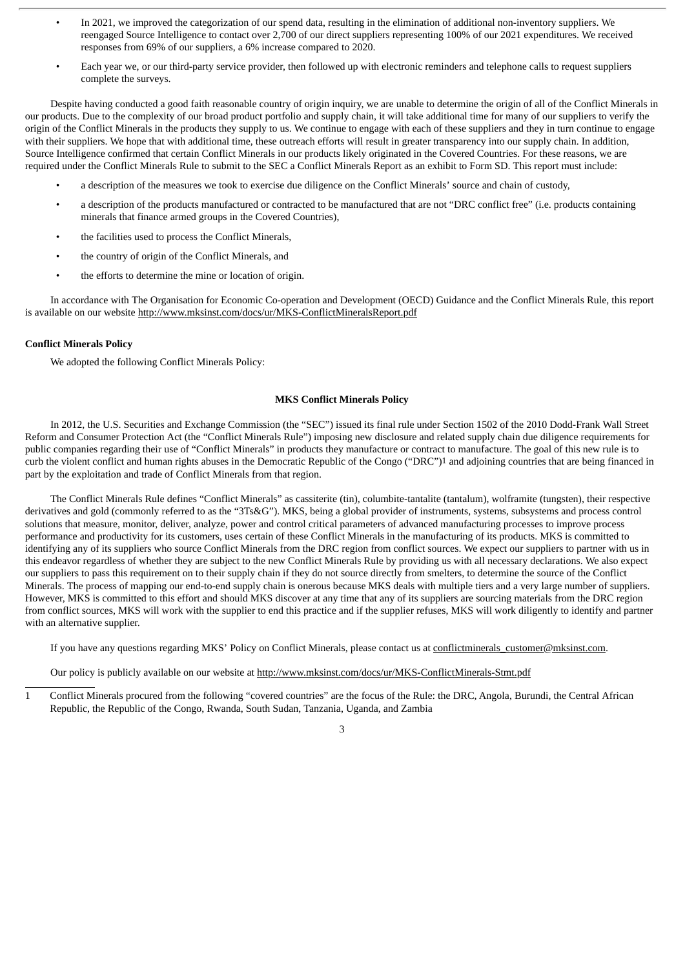- In 2021, we improved the categorization of our spend data, resulting in the elimination of additional non-inventory suppliers. We reengaged Source Intelligence to contact over 2,700 of our direct suppliers representing 100% of our 2021 expenditures. We received responses from 69% of our suppliers, a 6% increase compared to 2020.
- Each year we, or our third-party service provider, then followed up with electronic reminders and telephone calls to request suppliers complete the surveys.

Despite having conducted a good faith reasonable country of origin inquiry, we are unable to determine the origin of all of the Conflict Minerals in our products. Due to the complexity of our broad product portfolio and supply chain, it will take additional time for many of our suppliers to verify the origin of the Conflict Minerals in the products they supply to us. We continue to engage with each of these suppliers and they in turn continue to engage with their suppliers. We hope that with additional time, these outreach efforts will result in greater transparency into our supply chain. In addition, Source Intelligence confirmed that certain Conflict Minerals in our products likely originated in the Covered Countries. For these reasons, we are required under the Conflict Minerals Rule to submit to the SEC a Conflict Minerals Report as an exhibit to Form SD. This report must include:

- a description of the measures we took to exercise due diligence on the Conflict Minerals' source and chain of custody,
- a description of the products manufactured or contracted to be manufactured that are not "DRC conflict free" (i.e. products containing minerals that finance armed groups in the Covered Countries),
- the facilities used to process the Conflict Minerals,
- the country of origin of the Conflict Minerals, and
- the efforts to determine the mine or location of origin.

In accordance with The Organisation for Economic Co-operation and Development (OECD) Guidance and the Conflict Minerals Rule, this report is available on our website http://www.mksinst.com/docs/ur/MKS-ConflictMineralsReport.pdf

# **Conflict Minerals Policy**

We adopted the following Conflict Minerals Policy:

# **MKS Conflict Minerals Policy**

In 2012, the U.S. Securities and Exchange Commission (the "SEC") issued its final rule under Section 1502 of the 2010 Dodd-Frank Wall Street Reform and Consumer Protection Act (the "Conflict Minerals Rule") imposing new disclosure and related supply chain due diligence requirements for public companies regarding their use of "Conflict Minerals" in products they manufacture or contract to manufacture. The goal of this new rule is to curb the violent conflict and human rights abuses in the Democratic Republic of the Congo ("DRC")1 and adjoining countries that are being financed in part by the exploitation and trade of Conflict Minerals from that region.

The Conflict Minerals Rule defines "Conflict Minerals" as cassiterite (tin), columbite-tantalite (tantalum), wolframite (tungsten), their respective derivatives and gold (commonly referred to as the "3Ts&G"). MKS, being a global provider of instruments, systems, subsystems and process control solutions that measure, monitor, deliver, analyze, power and control critical parameters of advanced manufacturing processes to improve process performance and productivity for its customers, uses certain of these Conflict Minerals in the manufacturing of its products. MKS is committed to identifying any of its suppliers who source Conflict Minerals from the DRC region from conflict sources. We expect our suppliers to partner with us in this endeavor regardless of whether they are subject to the new Conflict Minerals Rule by providing us with all necessary declarations. We also expect our suppliers to pass this requirement on to their supply chain if they do not source directly from smelters, to determine the source of the Conflict Minerals. The process of mapping our end-to-end supply chain is onerous because MKS deals with multiple tiers and a very large number of suppliers. However, MKS is committed to this effort and should MKS discover at any time that any of its suppliers are sourcing materials from the DRC region from conflict sources, MKS will work with the supplier to end this practice and if the supplier refuses, MKS will work diligently to identify and partner with an alternative supplier.

If you have any questions regarding MKS' Policy on Conflict Minerals, please contact us at conflictminerals\_customer@mksinst.com.

Our policy is publicly available on our website at http://www.mksinst.com/docs/ur/MKS-ConflictMinerals-Stmt.pdf

1 Conflict Minerals procured from the following "covered countries" are the focus of the Rule: the DRC, Angola, Burundi, the Central African Republic, the Republic of the Congo, Rwanda, South Sudan, Tanzania, Uganda, and Zambia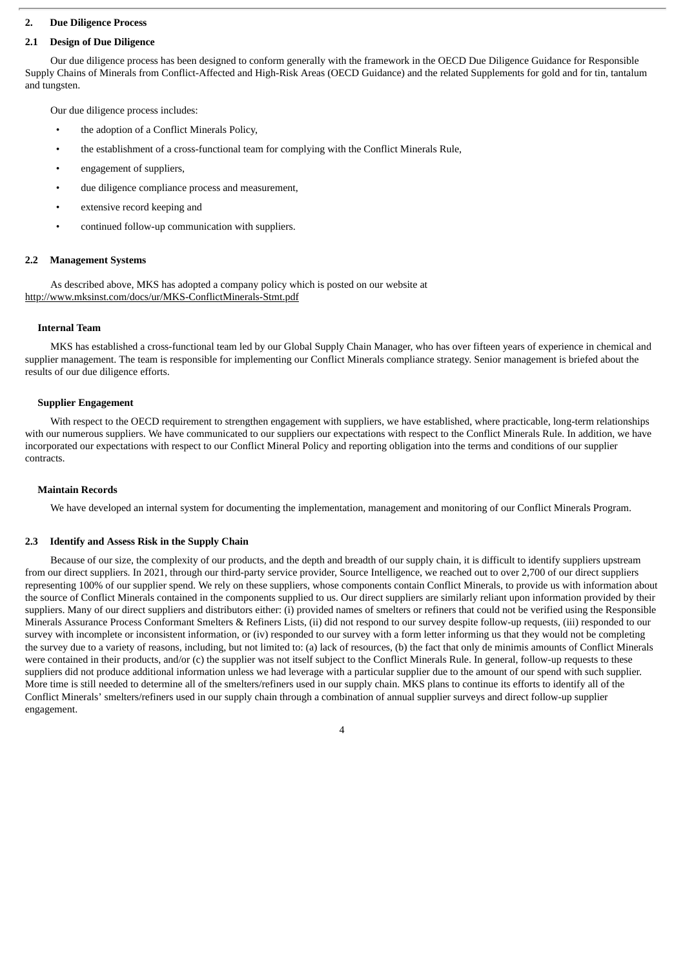# **2. Due Diligence Process**

# **2.1 Design of Due Diligence**

Our due diligence process has been designed to conform generally with the framework in the OECD Due Diligence Guidance for Responsible Supply Chains of Minerals from Conflict-Affected and High-Risk Areas (OECD Guidance) and the related Supplements for gold and for tin, tantalum and tungsten.

Our due diligence process includes:

- the adoption of a Conflict Minerals Policy,
- the establishment of a cross-functional team for complying with the Conflict Minerals Rule,
- engagement of suppliers,
- due diligence compliance process and measurement,
- extensive record keeping and
- continued follow-up communication with suppliers.

#### **2.2 Management Systems**

As described above, MKS has adopted a company policy which is posted on our website at http://www.mksinst.com/docs/ur/MKS-ConflictMinerals-Stmt.pdf

#### **Internal Team**

MKS has established a cross-functional team led by our Global Supply Chain Manager, who has over fifteen years of experience in chemical and supplier management. The team is responsible for implementing our Conflict Minerals compliance strategy. Senior management is briefed about the results of our due diligence efforts.

#### **Supplier Engagement**

With respect to the OECD requirement to strengthen engagement with suppliers, we have established, where practicable, long-term relationships with our numerous suppliers. We have communicated to our suppliers our expectations with respect to the Conflict Minerals Rule. In addition, we have incorporated our expectations with respect to our Conflict Mineral Policy and reporting obligation into the terms and conditions of our supplier contracts.

#### **Maintain Records**

We have developed an internal system for documenting the implementation, management and monitoring of our Conflict Minerals Program.

#### **2.3 Identify and Assess Risk in the Supply Chain**

Because of our size, the complexity of our products, and the depth and breadth of our supply chain, it is difficult to identify suppliers upstream from our direct suppliers. In 2021, through our third-party service provider, Source Intelligence, we reached out to over 2,700 of our direct suppliers representing 100% of our supplier spend. We rely on these suppliers, whose components contain Conflict Minerals, to provide us with information about the source of Conflict Minerals contained in the components supplied to us. Our direct suppliers are similarly reliant upon information provided by their suppliers. Many of our direct suppliers and distributors either: (i) provided names of smelters or refiners that could not be verified using the Responsible Minerals Assurance Process Conformant Smelters & Refiners Lists, (ii) did not respond to our survey despite follow-up requests, (iii) responded to our survey with incomplete or inconsistent information, or (iv) responded to our survey with a form letter informing us that they would not be completing the survey due to a variety of reasons, including, but not limited to: (a) lack of resources, (b) the fact that only de minimis amounts of Conflict Minerals were contained in their products, and/or (c) the supplier was not itself subject to the Conflict Minerals Rule. In general, follow-up requests to these suppliers did not produce additional information unless we had leverage with a particular supplier due to the amount of our spend with such supplier. More time is still needed to determine all of the smelters/refiners used in our supply chain. MKS plans to continue its efforts to identify all of the Conflict Minerals' smelters/refiners used in our supply chain through a combination of annual supplier surveys and direct follow-up supplier engagement.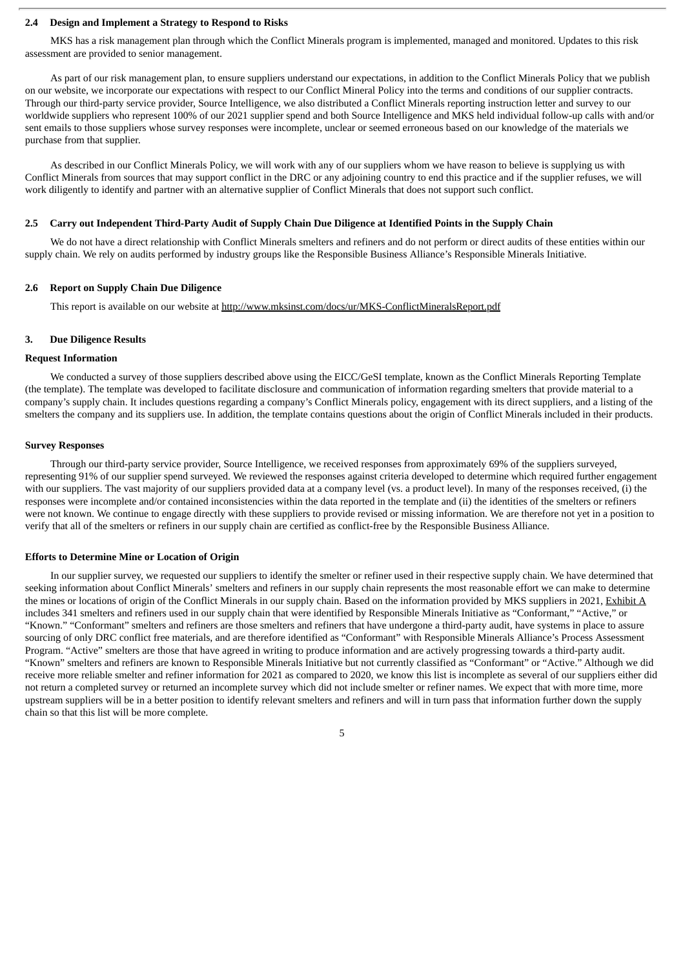#### **2.4 Design and Implement a Strategy to Respond to Risks**

MKS has a risk management plan through which the Conflict Minerals program is implemented, managed and monitored. Updates to this risk assessment are provided to senior management.

As part of our risk management plan, to ensure suppliers understand our expectations, in addition to the Conflict Minerals Policy that we publish on our website, we incorporate our expectations with respect to our Conflict Mineral Policy into the terms and conditions of our supplier contracts. Through our third-party service provider, Source Intelligence, we also distributed a Conflict Minerals reporting instruction letter and survey to our worldwide suppliers who represent 100% of our 2021 supplier spend and both Source Intelligence and MKS held individual follow-up calls with and/or sent emails to those suppliers whose survey responses were incomplete, unclear or seemed erroneous based on our knowledge of the materials we purchase from that supplier.

As described in our Conflict Minerals Policy, we will work with any of our suppliers whom we have reason to believe is supplying us with Conflict Minerals from sources that may support conflict in the DRC or any adjoining country to end this practice and if the supplier refuses, we will work diligently to identify and partner with an alternative supplier of Conflict Minerals that does not support such conflict.

#### 2.5 Carry out Independent Third-Party Audit of Supply Chain Due Diligence at Identified Points in the Supply Chain

We do not have a direct relationship with Conflict Minerals smelters and refiners and do not perform or direct audits of these entities within our supply chain. We rely on audits performed by industry groups like the Responsible Business Alliance's Responsible Minerals Initiative.

### **2.6 Report on Supply Chain Due Diligence**

This report is available on our website at http://www.mksinst.com/docs/ur/MKS-ConflictMineralsReport.pdf

#### **3. Due Diligence Results**

#### **Request Information**

We conducted a survey of those suppliers described above using the EICC/GeSI template, known as the Conflict Minerals Reporting Template (the template). The template was developed to facilitate disclosure and communication of information regarding smelters that provide material to a company's supply chain. It includes questions regarding a company's Conflict Minerals policy, engagement with its direct suppliers, and a listing of the smelters the company and its suppliers use. In addition, the template contains questions about the origin of Conflict Minerals included in their products.

### **Survey Responses**

Through our third-party service provider, Source Intelligence, we received responses from approximately 69% of the suppliers surveyed, representing 91% of our supplier spend surveyed. We reviewed the responses against criteria developed to determine which required further engagement with our suppliers. The vast majority of our suppliers provided data at a company level (vs. a product level). In many of the responses received, (i) the responses were incomplete and/or contained inconsistencies within the data reported in the template and (ii) the identities of the smelters or refiners were not known. We continue to engage directly with these suppliers to provide revised or missing information. We are therefore not yet in a position to verify that all of the smelters or refiners in our supply chain are certified as conflict-free by the Responsible Business Alliance.

#### **Efforts to Determine Mine or Location of Origin**

In our supplier survey, we requested our suppliers to identify the smelter or refiner used in their respective supply chain. We have determined that seeking information about Conflict Minerals' smelters and refiners in our supply chain represents the most reasonable effort we can make to determine the mines or locations of origin of the Conflict Minerals in our supply chain. Based on the information provided by MKS suppliers in 2021, Exhibit A includes 341 smelters and refiners used in our supply chain that were identified by Responsible Minerals Initiative as "Conformant," "Active," or "Known." "Conformant" smelters and refiners are those smelters and refiners that have undergone a third-party audit, have systems in place to assure sourcing of only DRC conflict free materials, and are therefore identified as "Conformant" with Responsible Minerals Alliance's Process Assessment Program. "Active" smelters are those that have agreed in writing to produce information and are actively progressing towards a third-party audit. "Known" smelters and refiners are known to Responsible Minerals Initiative but not currently classified as "Conformant" or "Active." Although we did receive more reliable smelter and refiner information for 2021 as compared to 2020, we know this list is incomplete as several of our suppliers either did not return a completed survey or returned an incomplete survey which did not include smelter or refiner names. We expect that with more time, more upstream suppliers will be in a better position to identify relevant smelters and refiners and will in turn pass that information further down the supply chain so that this list will be more complete.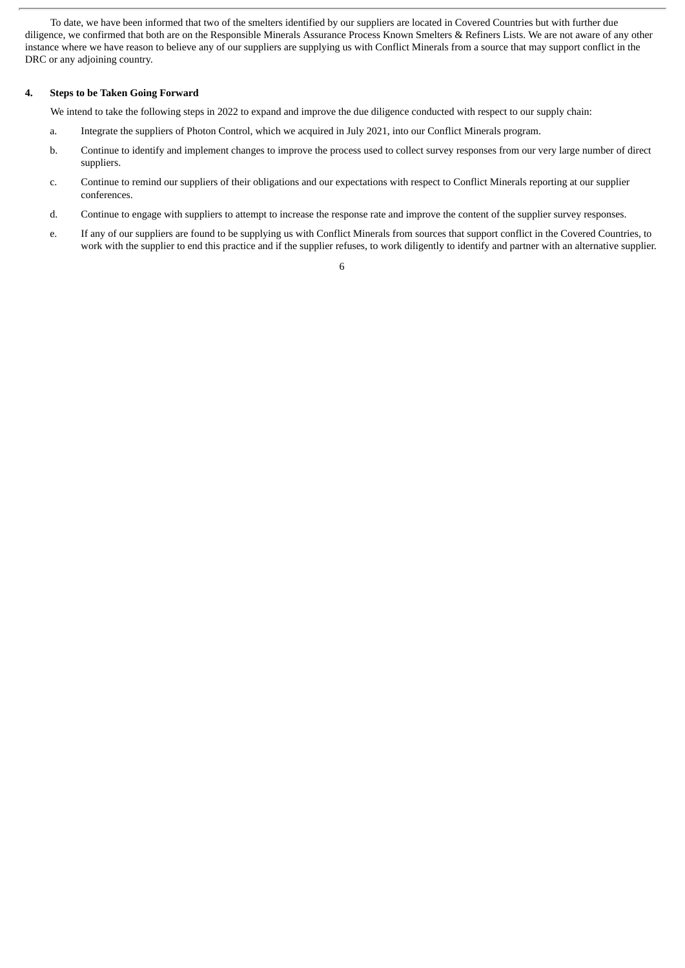To date, we have been informed that two of the smelters identified by our suppliers are located in Covered Countries but with further due diligence, we confirmed that both are on the Responsible Minerals Assurance Process Known Smelters & Refiners Lists. We are not aware of any other instance where we have reason to believe any of our suppliers are supplying us with Conflict Minerals from a source that may support conflict in the DRC or any adjoining country.

# **4. Steps to be Taken Going Forward**

We intend to take the following steps in 2022 to expand and improve the due diligence conducted with respect to our supply chain:

- a. Integrate the suppliers of Photon Control, which we acquired in July 2021, into our Conflict Minerals program.
- b. Continue to identify and implement changes to improve the process used to collect survey responses from our very large number of direct suppliers.
- c. Continue to remind our suppliers of their obligations and our expectations with respect to Conflict Minerals reporting at our supplier conferences.
- d. Continue to engage with suppliers to attempt to increase the response rate and improve the content of the supplier survey responses.
- e. If any of our suppliers are found to be supplying us with Conflict Minerals from sources that support conflict in the Covered Countries, to work with the supplier to end this practice and if the supplier refuses, to work diligently to identify and partner with an alternative supplier.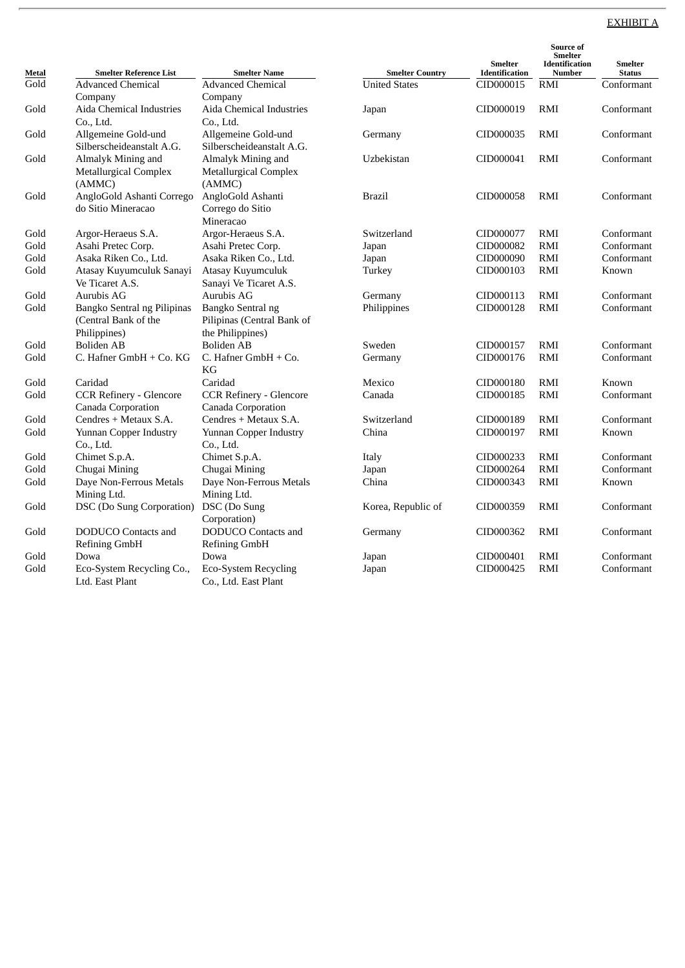# EXHIBIT A

|               | <b>Smelter Reference List</b>       | <b>Smelter Name</b>                 | <b>Smelter Country</b> | <b>Smelter</b><br><b>Identification</b> | Source of<br><b>Smelter</b><br><b>Identification</b><br>Number | <b>Smelter</b><br><b>Status</b> |
|---------------|-------------------------------------|-------------------------------------|------------------------|-----------------------------------------|----------------------------------------------------------------|---------------------------------|
| Metal<br>Gold | <b>Advanced Chemical</b>            | Advanced Chemical                   | <b>United States</b>   | CID000015                               | RMI                                                            | Conformant                      |
|               |                                     |                                     |                        |                                         |                                                                |                                 |
| Gold          | Company<br>Aida Chemical Industries | Company<br>Aida Chemical Industries |                        | CID000019                               | <b>RMI</b>                                                     | Conformant                      |
|               | Co., Ltd.                           | Co., Ltd.                           | Japan                  |                                         |                                                                |                                 |
| Gold          | Allgemeine Gold-und                 | Allgemeine Gold-und                 | Germany                | CID000035                               | <b>RMI</b>                                                     | Conformant                      |
|               | Silberscheideanstalt A.G.           | Silberscheideanstalt A.G.           |                        |                                         |                                                                |                                 |
| Gold          | Almalyk Mining and                  | Almalyk Mining and                  | Uzbekistan             | CID000041                               | RMI                                                            | Conformant                      |
|               | <b>Metallurgical Complex</b>        | <b>Metallurgical Complex</b>        |                        |                                         |                                                                |                                 |
|               | (AMMC)                              | (AMMC)                              |                        |                                         |                                                                |                                 |
| Gold          | AngloGold Ashanti Corrego           | AngloGold Ashanti                   | <b>Brazil</b>          | CID000058                               | RMI                                                            | Conformant                      |
|               | do Sitio Mineracao                  | Corrego do Sitio                    |                        |                                         |                                                                |                                 |
|               |                                     | Mineracao                           |                        |                                         |                                                                |                                 |
| Gold          | Argor-Heraeus S.A.                  | Argor-Heraeus S.A.                  | Switzerland            | CID000077                               | RMI                                                            | Conformant                      |
| Gold          | Asahi Pretec Corp.                  | Asahi Pretec Corp.                  | Japan                  | CID000082                               | RMI                                                            | Conformant                      |
| Gold          | Asaka Riken Co., Ltd.               | Asaka Riken Co., Ltd.               | Japan                  | CID000090                               | RMI                                                            | Conformant                      |
| Gold          | Atasay Kuyumculuk Sanayi            | Atasay Kuyumculuk                   | Turkey                 | CID000103                               | <b>RMI</b>                                                     | Known                           |
|               | Ve Ticaret A.S.                     | Sanayi Ve Ticaret A.S.              |                        |                                         |                                                                |                                 |
| Gold          | Aurubis AG                          | Aurubis AG                          | Germany                | CID000113                               | RMI                                                            | Conformant                      |
| Gold          | Bangko Sentral ng Pilipinas         | Bangko Sentral ng                   | Philippines            | CID000128                               | <b>RMI</b>                                                     | Conformant                      |
|               | (Central Bank of the                | Pilipinas (Central Bank of          |                        |                                         |                                                                |                                 |
|               | Philippines)                        | the Philippines)                    |                        |                                         |                                                                |                                 |
| Gold          | <b>Boliden AB</b>                   | <b>Boliden AB</b>                   | Sweden                 | CID000157                               | <b>RMI</b>                                                     | Conformant                      |
| Gold          | C. Hafner GmbH + Co. KG             | C. Hafner GmbH + Co.                | Germany                | CID000176                               | <b>RMI</b>                                                     | Conformant                      |
|               |                                     | KG                                  |                        |                                         |                                                                |                                 |
| Gold          | Caridad                             | Caridad                             | Mexico                 | CID000180                               | <b>RMI</b>                                                     | Known                           |
| Gold          | <b>CCR Refinery - Glencore</b>      | <b>CCR Refinery - Glencore</b>      | Canada                 | CID000185                               | <b>RMI</b>                                                     | Conformant                      |
|               | <b>Canada Corporation</b>           | Canada Corporation                  |                        |                                         |                                                                |                                 |
| Gold          | Cendres + Metaux S.A.               | Cendres + Metaux S.A.               | Switzerland            | CID000189                               | RMI                                                            | Conformant                      |
| Gold          | Yunnan Copper Industry              | Yunnan Copper Industry              | China                  | CID000197                               | <b>RMI</b>                                                     | Known                           |
|               | Co., Ltd.                           | Co., Ltd.                           |                        |                                         |                                                                |                                 |
| Gold          | Chimet S.p.A.                       | Chimet S.p.A.                       | Italy                  | CID000233                               | RMI                                                            | Conformant                      |
| Gold          | Chugai Mining                       | Chugai Mining                       | Japan                  | CID000264                               | <b>RMI</b>                                                     | Conformant                      |
| Gold          | Daye Non-Ferrous Metals             | Daye Non-Ferrous Metals             | China                  | CID000343                               | RMI                                                            | Known                           |
|               | Mining Ltd.                         | Mining Ltd.                         |                        |                                         |                                                                |                                 |
| Gold          | DSC (Do Sung Corporation)           | DSC (Do Sung                        | Korea, Republic of     | CID000359                               | <b>RMI</b>                                                     | Conformant                      |
|               |                                     | Corporation)                        |                        |                                         |                                                                |                                 |
| Gold          | DODUCO Contacts and                 | <b>DODUCO</b> Contacts and          | Germany                | CID000362                               | RMI                                                            | Conformant                      |
|               | <b>Refining GmbH</b>                | <b>Refining GmbH</b>                |                        |                                         |                                                                |                                 |
| Gold          | Dowa                                | Dowa                                | Japan                  | CID000401                               | <b>RMI</b>                                                     | Conformant                      |
| Gold          | Eco-System Recycling Co.,           | Eco-System Recycling                | Japan                  | CID000425                               | RMI                                                            | Conformant                      |
|               | Ltd. East Plant                     | Co., Ltd. East Plant                |                        |                                         |                                                                |                                 |
|               |                                     |                                     |                        |                                         |                                                                |                                 |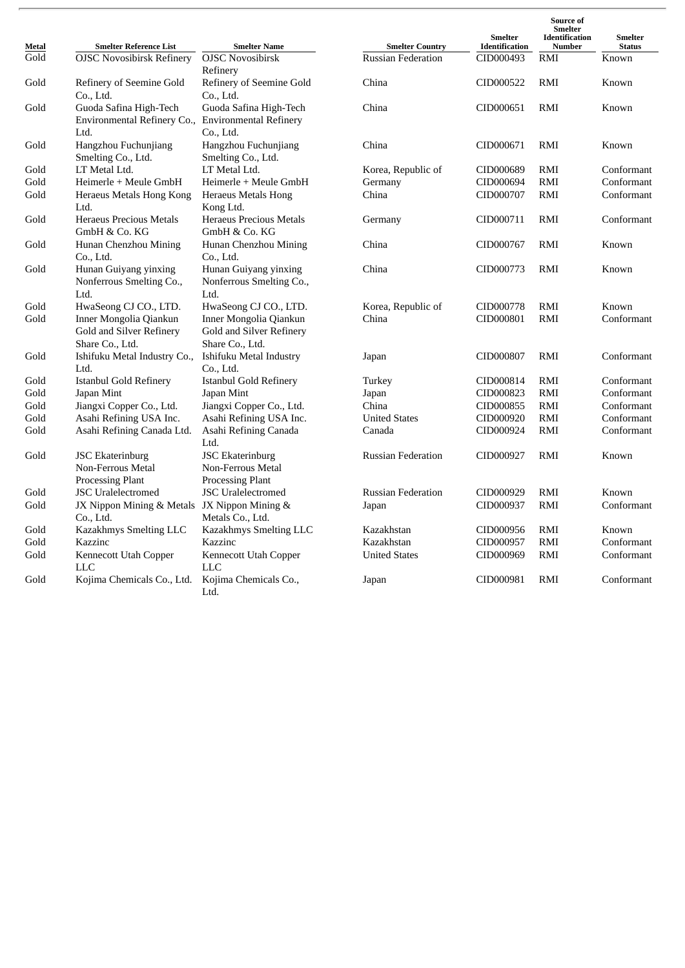| Metal | <b>Smelter Reference List</b>                | <b>Smelter Name</b>           | <b>Smelter Country</b>    | <b>Smelter</b><br>Identification | Source of<br>Smelter<br><b>Identification</b><br><b>Number</b> | <b>Smelter</b><br><b>Status</b> |
|-------|----------------------------------------------|-------------------------------|---------------------------|----------------------------------|----------------------------------------------------------------|---------------------------------|
| Gold  | <b>OJSC Novosibirsk Refinery</b>             | <b>OJSC Novosibirsk</b>       | <b>Russian Federation</b> | CID000493                        | RMI                                                            | Known                           |
|       |                                              | Refinery                      |                           |                                  |                                                                |                                 |
| Gold  | Refinery of Seemine Gold                     | Refinery of Seemine Gold      | China                     | CID000522                        | RMI                                                            | Known                           |
|       | Co., Ltd.                                    | Co., Ltd.                     |                           |                                  |                                                                |                                 |
| Gold  | Guoda Safina High-Tech                       | Guoda Safina High-Tech        | China                     | CID000651                        | RMI                                                            | Known                           |
|       | Environmental Refinery Co.,                  | <b>Environmental Refinery</b> |                           |                                  |                                                                |                                 |
|       | Ltd.                                         | Co., Ltd.                     |                           |                                  |                                                                |                                 |
| Gold  | Hangzhou Fuchunjiang                         | Hangzhou Fuchunjiang          | China                     | CID000671                        | RMI                                                            | Known                           |
|       | Smelting Co., Ltd.                           | Smelting Co., Ltd.            |                           |                                  |                                                                |                                 |
| Gold  | LT Metal Ltd.                                | LT Metal Ltd.                 | Korea, Republic of        | CID000689                        | RMI                                                            | Conformant                      |
| Gold  | Heimerle + Meule GmbH                        | Heimerle + Meule GmbH         | Germany                   | CID000694                        | RMI                                                            | Conformant                      |
| Gold  | Heraeus Metals Hong Kong                     | Heraeus Metals Hong           | China                     | CID000707                        | RMI                                                            | Conformant                      |
|       | Ltd.                                         | Kong Ltd.                     |                           |                                  |                                                                |                                 |
| Gold  | <b>Heraeus Precious Metals</b>               | Heraeus Precious Metals       | Germany                   | CID000711                        | <b>RMI</b>                                                     | Conformant                      |
|       | GmbH & Co. KG                                | GmbH & Co. KG                 |                           |                                  |                                                                |                                 |
| Gold  | Hunan Chenzhou Mining                        | Hunan Chenzhou Mining         | China                     | CID000767                        | RMI                                                            | Known                           |
|       | Co., Ltd.                                    | Co., Ltd.                     |                           |                                  |                                                                |                                 |
| Gold  | Hunan Guiyang yinxing                        | Hunan Guiyang yinxing         | China                     | CID000773                        | RMI                                                            | Known                           |
|       | Nonferrous Smelting Co.,                     | Nonferrous Smelting Co.,      |                           |                                  |                                                                |                                 |
|       | Ltd.                                         | Ltd.                          |                           |                                  |                                                                |                                 |
| Gold  | HwaSeong CJ CO., LTD.                        | HwaSeong CJ CO., LTD.         | Korea, Republic of        | CID000778                        | RMI                                                            | Known                           |
| Gold  | Inner Mongolia Qiankun                       | Inner Mongolia Qiankun        | China                     | CID000801                        | <b>RMI</b>                                                     | Conformant                      |
|       | Gold and Silver Refinery                     | Gold and Silver Refinery      |                           |                                  |                                                                |                                 |
|       | Share Co., Ltd.                              | Share Co., Ltd.               |                           |                                  |                                                                |                                 |
| Gold  | Ishifuku Metal Industry Co.,                 | Ishifuku Metal Industry       | Japan                     | CID000807                        | RMI                                                            | Conformant                      |
|       | Ltd.                                         | Co., Ltd.                     |                           |                                  |                                                                |                                 |
| Gold  | Istanbul Gold Refinery                       | <b>Istanbul Gold Refinery</b> | Turkey                    | CID000814                        | RMI                                                            | Conformant                      |
| Gold  | Japan Mint                                   | Japan Mint                    | Japan                     | CID000823                        | RMI                                                            | Conformant                      |
| Gold  | Jiangxi Copper Co., Ltd.                     | Jiangxi Copper Co., Ltd.      | China                     | CID000855                        | RMI                                                            | Conformant                      |
| Gold  | Asahi Refining USA Inc.                      | Asahi Refining USA Inc.       | <b>United States</b>      | CID000920                        | RMI                                                            | Conformant                      |
| Gold  | Asahi Refining Canada Ltd.                   | Asahi Refining Canada<br>Ltd. | Canada                    | CID000924                        | RMI                                                            | Conformant                      |
| Gold  | <b>JSC Ekaterinburg</b>                      | <b>JSC Ekaterinburg</b>       | <b>Russian Federation</b> | CID000927                        | RMI                                                            | Known                           |
|       | Non-Ferrous Metal                            | Non-Ferrous Metal             |                           |                                  |                                                                |                                 |
|       | <b>Processing Plant</b>                      | <b>Processing Plant</b>       |                           |                                  |                                                                |                                 |
| Gold  | <b>JSC</b> Uralelectromed                    | <b>JSC</b> Uralelectromed     | <b>Russian Federation</b> | CID000929                        | RMI                                                            | Known                           |
| Gold  | JX Nippon Mining & Metals JX Nippon Mining & |                               | Japan                     | CID000937                        | RMI                                                            | Conformant                      |
|       | Co., Ltd.                                    | Metals Co., Ltd.              |                           |                                  |                                                                |                                 |
| Gold  | Kazakhmys Smelting LLC                       | Kazakhmys Smelting LLC        | Kazakhstan                | CID000956                        | RMI                                                            | Known                           |
| Gold  | Kazzinc                                      | Kazzinc                       | Kazakhstan                | CID000957                        | RMI                                                            | Conformant                      |
| Gold  | Kennecott Utah Copper                        | Kennecott Utah Copper         | <b>United States</b>      | CID000969                        | RMI                                                            | Conformant                      |
|       | <b>LLC</b>                                   | <b>LLC</b>                    |                           |                                  |                                                                |                                 |
| Gold  | Kojima Chemicals Co., Ltd.                   | Kojima Chemicals Co.,         | Japan                     | CID000981                        | <b>RMI</b>                                                     | Conformant                      |
|       |                                              | Ltd.                          |                           |                                  |                                                                |                                 |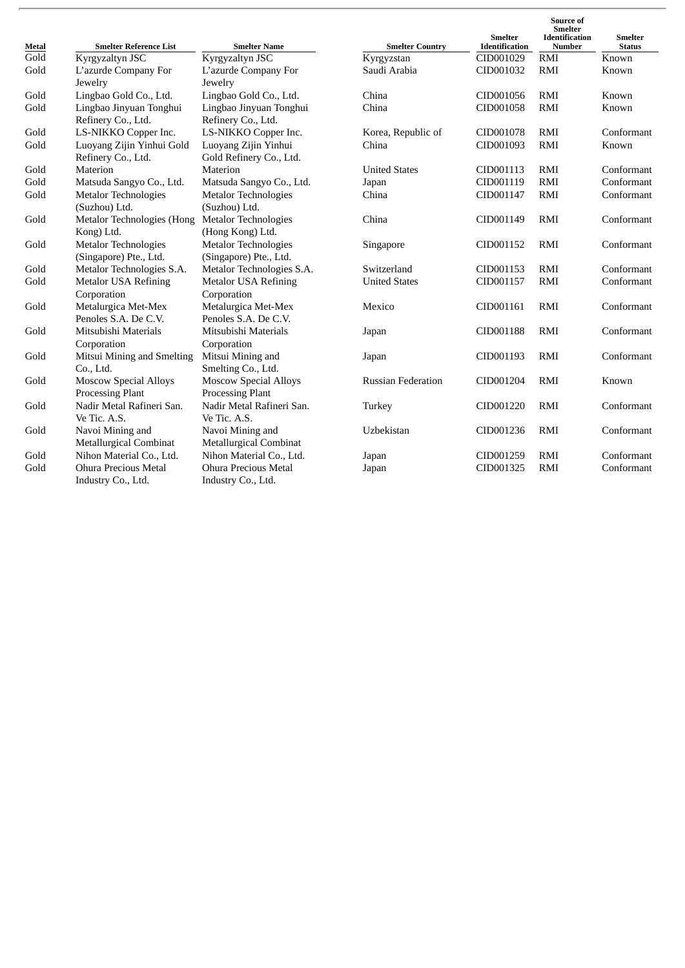| Metal | <b>Smelter Reference List</b> | <b>Smelter Name</b>          | <b>Smelter Country</b>    | <b>Smelter</b><br>Identification | Source of<br><b>Smelter</b><br>Identification<br><b>Number</b> | Smelter<br><b>Status</b> |
|-------|-------------------------------|------------------------------|---------------------------|----------------------------------|----------------------------------------------------------------|--------------------------|
| Gold  | Kyrgyzaltyn JSC               | Kyrgyzaltyn JSC              | Kyrgyzstan                | CID001029                        | RMI                                                            | Known                    |
| Gold  | L'azurde Company For          | L'azurde Company For         | Saudi Arabia              | CID001032                        | <b>RMI</b>                                                     | Known                    |
|       | Jewelry                       | Jewelry                      |                           |                                  |                                                                |                          |
| Gold  | Lingbao Gold Co., Ltd.        | Lingbao Gold Co., Ltd.       | China                     | CID001056                        | RMI                                                            | Known                    |
| Gold  | Lingbao Jinyuan Tonghui       | Lingbao Jinyuan Tonghui      | China                     | CID001058                        | <b>RMI</b>                                                     | Known                    |
|       | Refinery Co., Ltd.            | Refinery Co., Ltd.           |                           |                                  |                                                                |                          |
| Gold  | LS-NIKKO Copper Inc.          | LS-NIKKO Copper Inc.         | Korea, Republic of        | CID001078                        | <b>RMI</b>                                                     | Conformant               |
| Gold  | Luoyang Zijin Yinhui Gold     | Luoyang Zijin Yinhui         | China                     | CID001093                        | <b>RMI</b>                                                     | Known                    |
|       | Refinery Co., Ltd.            | Gold Refinery Co., Ltd.      |                           |                                  |                                                                |                          |
| Gold  | Materion                      | Materion                     | <b>United States</b>      | CID001113                        | <b>RMI</b>                                                     | Conformant               |
| Gold  | Matsuda Sangyo Co., Ltd.      | Matsuda Sangyo Co., Ltd.     | Japan                     | CID001119                        | <b>RMI</b>                                                     | Conformant               |
| Gold  | Metalor Technologies          | <b>Metalor Technologies</b>  | China                     | CID001147                        | RMI                                                            | Conformant               |
|       | (Suzhou) Ltd.                 | (Suzhou) Ltd.                |                           |                                  |                                                                |                          |
| Gold  | Metalor Technologies (Hong    | <b>Metalor Technologies</b>  | China                     | CID001149                        | <b>RMI</b>                                                     | Conformant               |
|       | Kong) Ltd.                    | (Hong Kong) Ltd.             |                           |                                  |                                                                |                          |
| Gold  | <b>Metalor Technologies</b>   | <b>Metalor Technologies</b>  | Singapore                 | CID001152                        | <b>RMI</b>                                                     | Conformant               |
|       | (Singapore) Pte., Ltd.        | (Singapore) Pte., Ltd.       |                           |                                  |                                                                |                          |
| Gold  | Metalor Technologies S.A.     | Metalor Technologies S.A.    | Switzerland               | CID001153                        | <b>RMI</b>                                                     | Conformant               |
| Gold  | <b>Metalor USA Refining</b>   | <b>Metalor USA Refining</b>  | <b>United States</b>      | CID001157                        | <b>RMI</b>                                                     | Conformant               |
|       | Corporation                   | Corporation                  |                           |                                  |                                                                |                          |
| Gold  | Metalurgica Met-Mex           | Metalurgica Met-Mex          | Mexico                    | CID001161                        | RMI                                                            | Conformant               |
|       | Penoles S.A. De C.V.          | Penoles S.A. De C.V.         |                           |                                  |                                                                |                          |
| Gold  | Mitsubishi Materials          | Mitsubishi Materials         | Japan                     | CID001188                        | <b>RMI</b>                                                     | Conformant               |
|       | Corporation                   | Corporation                  |                           |                                  |                                                                |                          |
| Gold  | Mitsui Mining and Smelting    | Mitsui Mining and            | Japan                     | CID001193                        | <b>RMI</b>                                                     | Conformant               |
|       | Co., Ltd.                     | Smelting Co., Ltd.           |                           |                                  |                                                                |                          |
| Gold  | <b>Moscow Special Alloys</b>  | <b>Moscow Special Alloys</b> | <b>Russian Federation</b> | CID001204                        | <b>RMI</b>                                                     | Known                    |
|       | <b>Processing Plant</b>       | Processing Plant             |                           |                                  |                                                                |                          |
| Gold  | Nadir Metal Rafineri San.     | Nadir Metal Rafineri San.    | Turkey                    | CID001220                        | <b>RMI</b>                                                     | Conformant               |
|       | Ve Tic. A.S.                  | Ve Tic. A.S.                 |                           |                                  |                                                                |                          |
| Gold  | Navoi Mining and              | Navoi Mining and             | Uzbekistan                | CID001236                        | <b>RMI</b>                                                     | Conformant               |
|       | Metallurgical Combinat        | Metallurgical Combinat       |                           |                                  |                                                                |                          |
| Gold  | Nihon Material Co., Ltd.      | Nihon Material Co., Ltd.     | Japan                     | CID001259                        | RMI                                                            | Conformant               |
| Gold  | Ohura Precious Metal          | Ohura Precious Metal         | Japan                     | CID001325                        | <b>RMI</b>                                                     | Conformant               |
|       | Industry Co., Ltd.            | Industry Co., Ltd.           |                           |                                  |                                                                |                          |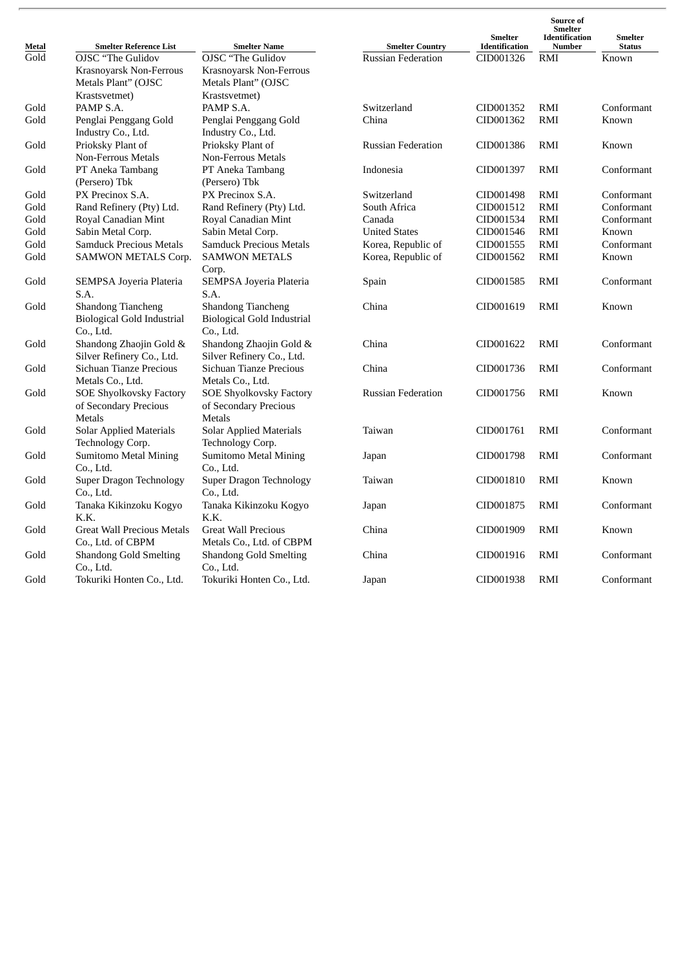| Metal             | <b>Smelter Reference List</b>     | <b>Smelter Name</b>               | <b>Smelter Country</b>    | <b>Smelter</b><br>Identification | Source of<br><b>Smelter</b><br><b>Identification</b><br>Number | <b>Smelter</b><br><b>Status</b> |
|-------------------|-----------------------------------|-----------------------------------|---------------------------|----------------------------------|----------------------------------------------------------------|---------------------------------|
| $\overline{Gold}$ | OJSC "The Gulidov                 | <b>OJSC</b> "The Gulidov          | <b>Russian Federation</b> | CID001326                        | RMI                                                            | Known                           |
|                   | Krasnoyarsk Non-Ferrous           | Krasnoyarsk Non-Ferrous           |                           |                                  |                                                                |                                 |
|                   | Metals Plant" (OJSC               | Metals Plant" (OJSC               |                           |                                  |                                                                |                                 |
|                   | Krastsvetmet)                     | Krastsvetmet)                     |                           |                                  |                                                                |                                 |
| Gold              | PAMP S.A.                         | PAMP S.A.                         | Switzerland               | CID001352                        | RMI                                                            | Conformant                      |
| Gold              | Penglai Penggang Gold             | Penglai Penggang Gold             | China                     | CID001362                        | <b>RMI</b>                                                     | Known                           |
|                   | Industry Co., Ltd.                | Industry Co., Ltd.                |                           |                                  |                                                                |                                 |
| Gold              | Prioksky Plant of                 | Prioksky Plant of                 | <b>Russian Federation</b> | CID001386                        | RMI                                                            | Known                           |
|                   | <b>Non-Ferrous Metals</b>         | <b>Non-Ferrous Metals</b>         |                           |                                  |                                                                |                                 |
| Gold              | PT Aneka Tambang                  | PT Aneka Tambang                  | Indonesia                 | CID001397                        | RMI                                                            | Conformant                      |
|                   | (Persero) Tbk                     | (Persero) Tbk                     |                           |                                  |                                                                |                                 |
| Gold              | PX Precinox S.A.                  | PX Precinox S.A.                  | Switzerland               | CID001498                        | RMI                                                            | Conformant                      |
| Gold              | Rand Refinery (Pty) Ltd.          | Rand Refinery (Pty) Ltd.          | South Africa              | CID001512                        | RMI                                                            | Conformant                      |
| Gold              | Royal Canadian Mint               | Royal Canadian Mint               | Canada                    | CID001534                        | RMI                                                            | Conformant                      |
| Gold              | Sabin Metal Corp.                 | Sabin Metal Corp.                 | <b>United States</b>      | CID001546                        | RMI                                                            | Known                           |
| Gold              | <b>Samduck Precious Metals</b>    | <b>Samduck Precious Metals</b>    | Korea, Republic of        | CID001555                        | RMI                                                            | Conformant                      |
| Gold              | SAMWON METALS Corp.               | <b>SAMWON METALS</b>              | Korea, Republic of        | CID001562                        | RMI                                                            | Known                           |
|                   |                                   | Corp.                             |                           |                                  |                                                                |                                 |
| Gold              | <b>SEMPSA Joyeria Plateria</b>    | <b>SEMPSA Joyeria Plateria</b>    | Spain                     | CID001585                        | RMI                                                            | Conformant                      |
|                   | S.A.                              | S.A.                              |                           |                                  |                                                                |                                 |
| Gold              | Shandong Tiancheng                | Shandong Tiancheng                | China                     | CID001619                        | RMI                                                            | Known                           |
|                   | <b>Biological Gold Industrial</b> | <b>Biological Gold Industrial</b> |                           |                                  |                                                                |                                 |
|                   | Co., Ltd.                         | Co., Ltd.                         |                           |                                  |                                                                |                                 |
| Gold              | Shandong Zhaojin Gold &           | Shandong Zhaojin Gold &           | China                     | CID001622                        | RMI                                                            | Conformant                      |
|                   | Silver Refinery Co., Ltd.         | Silver Refinery Co., Ltd.         |                           |                                  |                                                                |                                 |
| Gold              | Sichuan Tianze Precious           | Sichuan Tianze Precious           | China                     | CID001736                        | RMI                                                            | Conformant                      |
|                   | Metals Co., Ltd.                  | Metals Co., Ltd.                  |                           |                                  |                                                                |                                 |
| Gold              | <b>SOE Shyolkovsky Factory</b>    | <b>SOE Shyolkovsky Factory</b>    | <b>Russian Federation</b> | CID001756                        | RMI                                                            | Known                           |
|                   | of Secondary Precious             | of Secondary Precious             |                           |                                  |                                                                |                                 |
|                   | <b>Metals</b>                     | <b>Metals</b>                     |                           |                                  |                                                                |                                 |
| Gold              | <b>Solar Applied Materials</b>    | <b>Solar Applied Materials</b>    | Taiwan                    | CID001761                        | RMI                                                            | Conformant                      |
|                   | Technology Corp.                  | Technology Corp.                  |                           |                                  |                                                                |                                 |
| Gold              | Sumitomo Metal Mining             | <b>Sumitomo Metal Mining</b>      | Japan                     | CID001798                        | RMI                                                            | Conformant                      |
|                   | Co., Ltd.                         | Co., Ltd.                         |                           |                                  |                                                                |                                 |
| Gold              | <b>Super Dragon Technology</b>    | <b>Super Dragon Technology</b>    | Taiwan                    | CID001810                        | RMI                                                            | Known                           |
|                   | Co., Ltd.                         | Co., Ltd.                         |                           |                                  |                                                                |                                 |
| Gold              | Tanaka Kikinzoku Kogyo            | Tanaka Kikinzoku Kogyo            | Japan                     | CID001875                        | RMI                                                            | Conformant                      |
|                   | K.K.                              | K.K.                              |                           |                                  |                                                                |                                 |
| Gold              | <b>Great Wall Precious Metals</b> | <b>Great Wall Precious</b>        | China                     | CID001909                        | RMI                                                            | Known                           |
|                   | Co., Ltd. of CBPM                 | Metals Co., Ltd. of CBPM          |                           |                                  |                                                                |                                 |
| Gold              | <b>Shandong Gold Smelting</b>     | <b>Shandong Gold Smelting</b>     | China                     | CID001916                        | RMI                                                            | Conformant                      |
|                   | Co., Ltd.                         | Co., Ltd.                         |                           |                                  |                                                                |                                 |
| Gold              | Tokuriki Honten Co., Ltd.         | Tokuriki Honten Co., Ltd.         | Japan                     | CID001938                        | RMI                                                            | Conformant                      |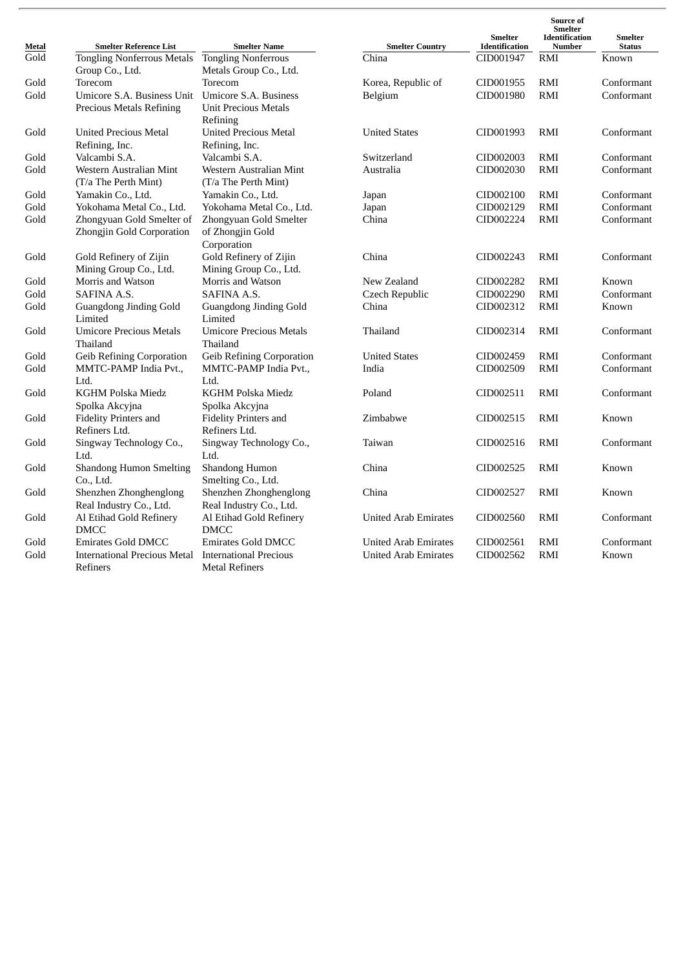| Metal | <b>Smelter Reference List</b>                          | <b>Smelter Name</b>                                             | <b>Smelter Country</b>      | <b>Smelter</b><br>Identification | Source of<br><b>Smelter</b><br><b>Identification</b><br><b>Number</b> | <b>Smelter</b><br><b>Status</b> |
|-------|--------------------------------------------------------|-----------------------------------------------------------------|-----------------------------|----------------------------------|-----------------------------------------------------------------------|---------------------------------|
| Gold  | <b>Tongling Nonferrous Metals</b>                      | <b>Tongling Nonferrous</b>                                      | China                       | CID001947                        | RMI                                                                   | Known                           |
|       | Group Co., Ltd.                                        | Metals Group Co., Ltd.                                          |                             |                                  |                                                                       |                                 |
| Gold  | Torecom                                                | Torecom                                                         | Korea, Republic of          | CID001955                        | RMI                                                                   | Conformant                      |
| Gold  | Umicore S.A. Business Unit                             | Umicore S.A. Business                                           | Belgium                     | CID001980                        | <b>RMI</b>                                                            | Conformant                      |
|       | Precious Metals Refining                               | <b>Unit Precious Metals</b><br>Refining                         |                             |                                  |                                                                       |                                 |
| Gold  | <b>United Precious Metal</b><br>Refining, Inc.         | <b>United Precious Metal</b><br>Refining, Inc.                  | <b>United States</b>        | CID001993                        | RMI                                                                   | Conformant                      |
| Gold  | Valcambi S.A.                                          | Valcambi S.A.                                                   | Switzerland                 | CID002003                        | RMI                                                                   | Conformant                      |
| Gold  | Western Australian Mint<br>(T/a The Perth Mint)        | Western Australian Mint<br>(T/a The Perth Mint)                 | Australia                   | CID002030                        | <b>RMI</b>                                                            | Conformant                      |
| Gold  | Yamakin Co., Ltd.                                      | Yamakin Co., Ltd.                                               | Japan                       | CID002100                        | RMI                                                                   | Conformant                      |
| Gold  | Yokohama Metal Co., Ltd.                               | Yokohama Metal Co., Ltd.                                        | Japan                       | CID002129                        | <b>RMI</b>                                                            | Conformant                      |
| Gold  | Zhongyuan Gold Smelter of<br>Zhongjin Gold Corporation | Zhongyuan Gold Smelter<br>of Zhongjin Gold                      | China                       | CID002224                        | RMI                                                                   | Conformant                      |
| Gold  | Gold Refinery of Zijin<br>Mining Group Co., Ltd.       | Corporation<br>Gold Refinery of Zijin<br>Mining Group Co., Ltd. | China                       | CID002243                        | <b>RMI</b>                                                            | Conformant                      |
| Gold  | Morris and Watson                                      | Morris and Watson                                               | New Zealand                 | CID002282                        | RMI                                                                   | Known                           |
| Gold  | SAFINA A.S.                                            | <b>SAFINA A.S.</b>                                              | Czech Republic              | CID002290                        | <b>RMI</b>                                                            | Conformant                      |
| Gold  | Guangdong Jinding Gold<br>Limited                      | <b>Guangdong Jinding Gold</b><br>Limited                        | China                       | CID002312                        | <b>RMI</b>                                                            | Known                           |
| Gold  | <b>Umicore Precious Metals</b><br>Thailand             | <b>Umicore Precious Metals</b><br>Thailand                      | Thailand                    | CID002314                        | <b>RMI</b>                                                            | Conformant                      |
| Gold  | Geib Refining Corporation                              | <b>Geib Refining Corporation</b>                                | <b>United States</b>        | CID002459                        | RMI                                                                   | Conformant                      |
| Gold  | MMTC-PAMP India Pvt.,<br>Ltd.                          | MMTC-PAMP India Pvt.,<br>Ltd.                                   | India                       | CID002509                        | <b>RMI</b>                                                            | Conformant                      |
| Gold  | KGHM Polska Miedz<br>Spolka Akcyjna                    | KGHM Polska Miedz<br>Spolka Akcyjna                             | Poland                      | CID002511                        | RMI                                                                   | Conformant                      |
| Gold  | <b>Fidelity Printers and</b><br>Refiners Ltd.          | <b>Fidelity Printers and</b><br>Refiners Ltd.                   | Zimbabwe                    | CID002515                        | <b>RMI</b>                                                            | Known                           |
| Gold  | Singway Technology Co.,<br>Ltd.                        | Singway Technology Co.,<br>Ltd.                                 | Taiwan                      | CID002516                        | <b>RMI</b>                                                            | Conformant                      |
| Gold  | <b>Shandong Humon Smelting</b><br>Co., Ltd.            | Shandong Humon<br>Smelting Co., Ltd.                            | China                       | CID002525                        | <b>RMI</b>                                                            | Known                           |
| Gold  | Shenzhen Zhonghenglong<br>Real Industry Co., Ltd.      | Shenzhen Zhonghenglong<br>Real Industry Co., Ltd.               | China                       | CID002527                        | <b>RMI</b>                                                            | Known                           |
| Gold  | Al Etihad Gold Refinery<br><b>DMCC</b>                 | Al Etihad Gold Refinery<br><b>DMCC</b>                          | <b>United Arab Emirates</b> | CID002560                        | <b>RMI</b>                                                            | Conformant                      |
| Gold  | <b>Emirates Gold DMCC</b>                              | <b>Emirates Gold DMCC</b>                                       | <b>United Arab Emirates</b> | CID002561                        | RMI                                                                   | Conformant                      |
| Gold  | <b>International Precious Metal</b><br>Refiners        | <b>International Precious</b><br><b>Metal Refiners</b>          | <b>United Arab Emirates</b> | CID002562                        | <b>RMI</b>                                                            | Known                           |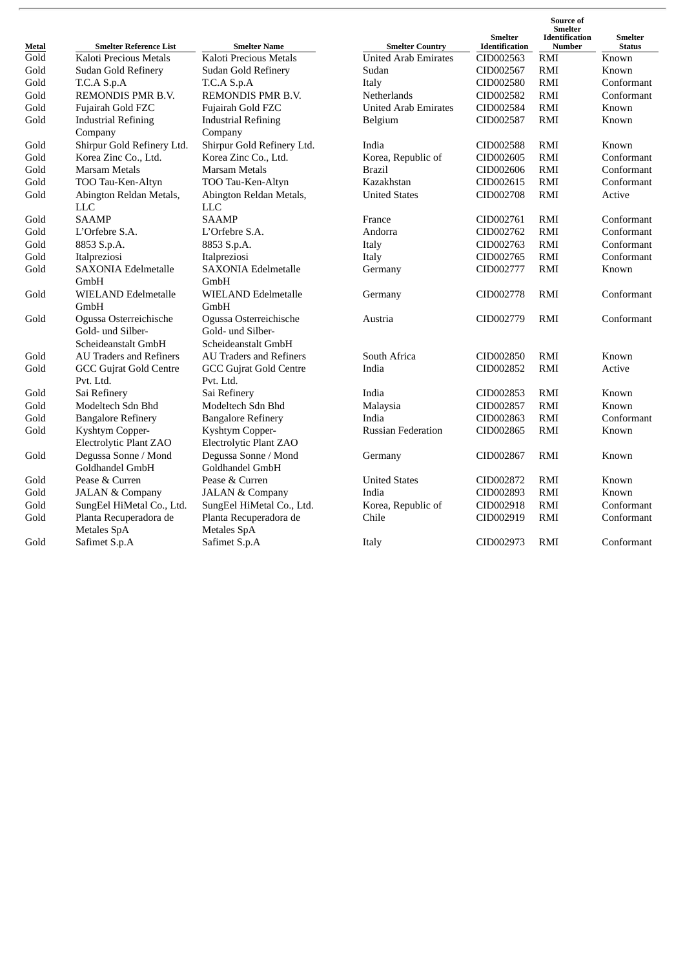| Metal | <b>Smelter Reference List</b>                | <b>Smelter Name</b>                          | <b>Smelter Country</b>      | <b>Smelter</b><br><b>Identification</b> | Source of<br><b>Smelter</b><br><b>Identification</b><br><b>Number</b> | <b>Smelter</b><br><b>Status</b> |
|-------|----------------------------------------------|----------------------------------------------|-----------------------------|-----------------------------------------|-----------------------------------------------------------------------|---------------------------------|
| Gold  | Kaloti Precious Metals                       | Kaloti Precious Metals                       | <b>United Arab Emirates</b> | CID002563                               | RMI                                                                   | Known                           |
| Gold  | Sudan Gold Refinery                          | Sudan Gold Refinery                          | Sudan                       | CID002567                               | RMI                                                                   | Known                           |
| Gold  | T.C.A S.p.A                                  | T.C.A S.p.A                                  | Italy                       | CID002580                               | RMI                                                                   | Conformant                      |
| Gold  | REMONDIS PMR B.V.                            | <b>REMONDIS PMR B.V.</b>                     | Netherlands                 | CID002582                               | RMI                                                                   | Conformant                      |
| Gold  | Fujairah Gold FZC                            | Fujairah Gold FZC                            | <b>United Arab Emirates</b> | CID002584                               | <b>RMI</b>                                                            | Known                           |
| Gold  | <b>Industrial Refining</b>                   | <b>Industrial Refining</b>                   | Belgium                     | CID002587                               | <b>RMI</b>                                                            | Known                           |
|       | Company                                      | Company                                      |                             |                                         |                                                                       |                                 |
| Gold  | Shirpur Gold Refinery Ltd.                   | Shirpur Gold Refinery Ltd.                   | India                       | CID002588                               | <b>RMI</b>                                                            | Known                           |
| Gold  | Korea Zinc Co., Ltd.                         | Korea Zinc Co., Ltd.                         | Korea, Republic of          | CID002605                               | <b>RMI</b>                                                            | Conformant                      |
| Gold  | Marsam Metals                                | Marsam Metals                                | <b>Brazil</b>               | CID002606                               | <b>RMI</b>                                                            | Conformant                      |
| Gold  | TOO Tau-Ken-Altyn                            | TOO Tau-Ken-Altyn                            | Kazakhstan                  | CID002615                               | <b>RMI</b>                                                            | Conformant                      |
| Gold  | Abington Reldan Metals,                      | Abington Reldan Metals,                      | <b>United States</b>        | CID002708                               | RMI                                                                   | Active                          |
|       | <b>LLC</b>                                   | <b>LLC</b>                                   |                             |                                         |                                                                       |                                 |
| Gold  | <b>SAAMP</b>                                 | <b>SAAMP</b>                                 | France                      | CID002761                               | RMI                                                                   | Conformant                      |
| Gold  | L'Orfebre S.A.                               | L'Orfebre S.A.                               | Andorra                     | CID002762                               | RMI                                                                   | Conformant                      |
| Gold  | 8853 S.p.A.                                  | 8853 S.p.A.                                  | Italy                       | CID002763                               | RMI                                                                   | Conformant                      |
| Gold  | Italpreziosi                                 | Italpreziosi                                 | Italy                       | CID002765                               | <b>RMI</b>                                                            | Conformant                      |
| Gold  | <b>SAXONIA Edelmetalle</b>                   | <b>SAXONIA Edelmetalle</b>                   | Germany                     | CID002777                               | RMI                                                                   | Known                           |
|       | GmbH                                         | GmbH                                         |                             |                                         |                                                                       |                                 |
| Gold  | <b>WIELAND Edelmetalle</b>                   | <b>WIELAND Edelmetalle</b>                   | Germany                     | CID002778                               | <b>RMI</b>                                                            | Conformant                      |
|       | GmbH                                         | GmbH                                         |                             |                                         |                                                                       |                                 |
| Gold  | Ogussa Osterreichische                       | Ogussa Osterreichische                       | Austria                     | CID002779                               | <b>RMI</b>                                                            | Conformant                      |
|       | Gold- und Silber-                            | Gold- und Silber-                            |                             |                                         |                                                                       |                                 |
|       | Scheideanstalt GmbH                          | Scheideanstalt GmbH                          |                             |                                         |                                                                       |                                 |
| Gold  | <b>AU Traders and Refiners</b>               | <b>AU Traders and Refiners</b>               | South Africa                | CID002850                               | <b>RMI</b>                                                            | Known                           |
| Gold  | <b>GCC Gujrat Gold Centre</b>                | <b>GCC Gujrat Gold Centre</b>                | India                       | CID002852                               | RMI                                                                   | Active                          |
|       | Pvt. Ltd.                                    | Pvt. Ltd.                                    |                             |                                         |                                                                       |                                 |
| Gold  | Sai Refinery                                 | Sai Refinery                                 | India                       | CID002853                               | <b>RMI</b>                                                            | Known                           |
| Gold  | Modeltech Sdn Bhd                            | Modeltech Sdn Bhd                            | Malaysia                    | CID002857                               | <b>RMI</b>                                                            | Known                           |
| Gold  | <b>Bangalore Refinery</b>                    | <b>Bangalore Refinery</b>                    | India                       | CID002863                               | RMI                                                                   | Conformant                      |
| Gold  | Kyshtym Copper-                              | Kyshtym Copper-                              | <b>Russian Federation</b>   | CID002865                               | <b>RMI</b>                                                            | Known                           |
|       | Electrolytic Plant ZAO                       | Electrolytic Plant ZAO                       |                             |                                         |                                                                       |                                 |
| Gold  | Degussa Sonne / Mond                         | Degussa Sonne / Mond                         | Germany                     | CID002867                               | RMI                                                                   | Known                           |
|       | Goldhandel GmbH                              | Goldhandel GmbH                              |                             |                                         |                                                                       |                                 |
| Gold  | Pease & Curren                               | Pease & Curren                               | <b>United States</b>        | CID002872                               | <b>RMI</b>                                                            | Known                           |
| Gold  | <b>JALAN &amp; Company</b>                   | <b>JALAN &amp; Company</b>                   | India                       | CID002893                               | RMI                                                                   | Known                           |
| Gold  | SungEel HiMetal Co., Ltd.                    | SungEel HiMetal Co., Ltd.                    | Korea, Republic of          | CID002918                               | <b>RMI</b>                                                            | Conformant                      |
| Gold  | Planta Recuperadora de<br><b>Metales SpA</b> | Planta Recuperadora de<br><b>Metales SpA</b> | Chile                       | CID002919                               | RMI                                                                   | Conformant                      |
| Gold  | Safimet S.p.A                                | Safimet S.p.A                                | Italy                       | CID002973                               | RMI                                                                   | Conformant                      |
|       |                                              |                                              |                             |                                         |                                                                       |                                 |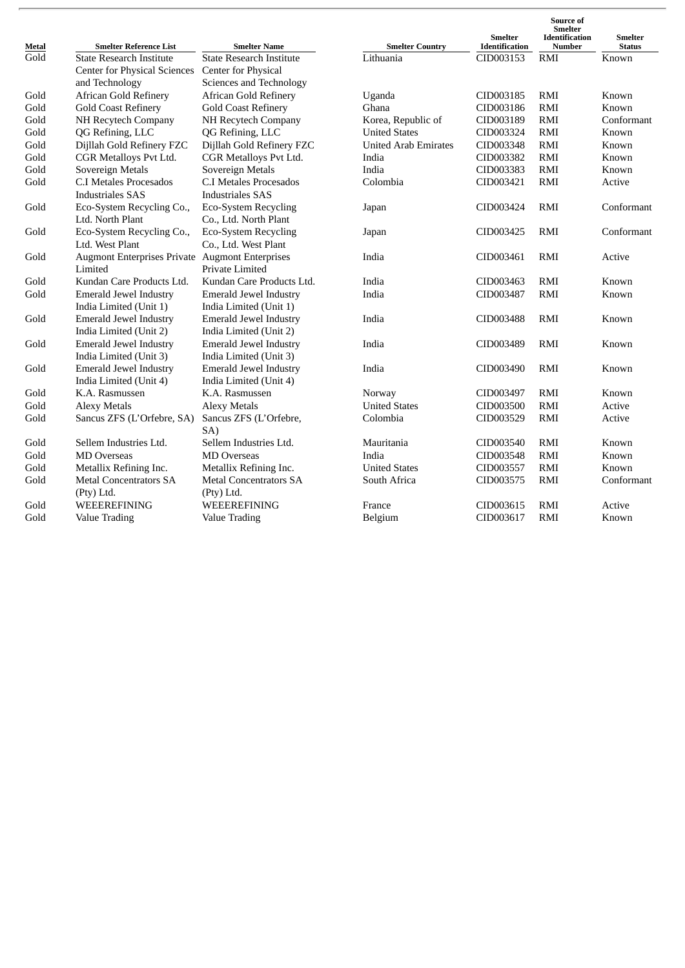| Metal              | <b>Smelter Reference List</b>                          | <b>Smelter Name</b>             | <b>Smelter Country</b>      | <b>Smelter</b><br><b>Identification</b> | Source of<br><b>Smelter</b><br><b>Identification</b><br><b>Number</b> | <b>Smelter</b><br><b>Status</b> |
|--------------------|--------------------------------------------------------|---------------------------------|-----------------------------|-----------------------------------------|-----------------------------------------------------------------------|---------------------------------|
| $\overline{G}$ old | <b>State Research Institute</b>                        | <b>State Research Institute</b> | Lithuania                   | CID003153                               | RMI                                                                   | Known                           |
|                    | <b>Center for Physical Sciences</b>                    | Center for Physical             |                             |                                         |                                                                       |                                 |
|                    | and Technology                                         | Sciences and Technology         |                             |                                         |                                                                       |                                 |
| Gold               | <b>African Gold Refinery</b>                           | <b>African Gold Refinery</b>    | Uganda                      | CID003185                               | <b>RMI</b>                                                            | Known                           |
| Gold               | <b>Gold Coast Refinery</b>                             | <b>Gold Coast Refinery</b>      | Ghana                       | CID003186                               | <b>RMI</b>                                                            | Known                           |
| Gold               | NH Recytech Company                                    | NH Recytech Company             | Korea, Republic of          | CID003189                               | <b>RMI</b>                                                            | Conformant                      |
| Gold               | QG Refining, LLC                                       | QG Refining, LLC                | <b>United States</b>        | CID003324                               | <b>RMI</b>                                                            | Known                           |
| Gold               | Dijllah Gold Refinery FZC                              | Dijllah Gold Refinery FZC       | <b>United Arab Emirates</b> | CID003348                               | <b>RMI</b>                                                            | Known                           |
| Gold               | CGR Metalloys Pvt Ltd.                                 | CGR Metalloys Pvt Ltd.          | India                       | CID003382                               | <b>RMI</b>                                                            | Known                           |
| Gold               | Sovereign Metals                                       | Sovereign Metals                | India                       | CID003383                               | <b>RMI</b>                                                            | Known                           |
| Gold               | C.I Metales Procesados                                 | C.I Metales Procesados          | Colombia                    | CID003421                               | <b>RMI</b>                                                            | Active                          |
|                    | <b>Industriales SAS</b>                                | <b>Industriales SAS</b>         |                             |                                         |                                                                       |                                 |
| Gold               | Eco-System Recycling Co.,                              | <b>Eco-System Recycling</b>     | Japan                       | CID003424                               | <b>RMI</b>                                                            | Conformant                      |
|                    | Ltd. North Plant                                       | Co., Ltd. North Plant           |                             |                                         |                                                                       |                                 |
| Gold               | Eco-System Recycling Co.,                              | <b>Eco-System Recycling</b>     | Japan                       | CID003425                               | <b>RMI</b>                                                            | Conformant                      |
|                    | Ltd. West Plant                                        | Co., Ltd. West Plant            |                             |                                         |                                                                       |                                 |
| Gold               | <b>Augmont Enterprises Private Augmont Enterprises</b> |                                 | India                       | CID003461                               | <b>RMI</b>                                                            | Active                          |
|                    | Limited                                                | Private Limited                 |                             |                                         |                                                                       |                                 |
| Gold               | Kundan Care Products Ltd.                              | Kundan Care Products Ltd.       | India                       | CID003463                               | <b>RMI</b>                                                            | Known                           |
| Gold               | <b>Emerald Jewel Industry</b>                          | Emerald Jewel Industry          | India                       | CID003487                               | <b>RMI</b>                                                            | Known                           |
|                    | India Limited (Unit 1)                                 | India Limited (Unit 1)          |                             |                                         |                                                                       |                                 |
| Gold               | Emerald Jewel Industry                                 | Emerald Jewel Industry          | India                       | CID003488                               | <b>RMI</b>                                                            | Known                           |
|                    | India Limited (Unit 2)                                 | India Limited (Unit 2)          |                             |                                         |                                                                       |                                 |
| Gold               | <b>Emerald Jewel Industry</b>                          | Emerald Jewel Industry          | India                       | CID003489                               | <b>RMI</b>                                                            | Known                           |
|                    | India Limited (Unit 3)                                 | India Limited (Unit 3)          |                             |                                         |                                                                       |                                 |
| Gold               | Emerald Jewel Industry                                 | Emerald Jewel Industry          | India                       | CID003490                               | <b>RMI</b>                                                            | Known                           |
|                    | India Limited (Unit 4)                                 | India Limited (Unit 4)          |                             |                                         |                                                                       |                                 |
| Gold               | K.A. Rasmussen                                         | K.A. Rasmussen                  | Norway                      | CID003497                               | RMI                                                                   | Known                           |
| Gold               | <b>Alexy Metals</b>                                    | <b>Alexy Metals</b>             | <b>United States</b>        | CID003500                               | <b>RMI</b>                                                            | Active                          |
| Gold               | Sancus ZFS (L'Orfebre, SA)                             | Sancus ZFS (L'Orfebre,          | Colombia                    | CID003529                               | <b>RMI</b>                                                            | Active                          |
|                    |                                                        | SA)                             |                             |                                         |                                                                       |                                 |
| Gold               | Sellem Industries Ltd.                                 | Sellem Industries Ltd.          | Mauritania                  | CID003540                               | <b>RMI</b>                                                            | Known                           |
| Gold               | <b>MD</b> Overseas                                     | <b>MD</b> Overseas              | India                       | CID003548                               | RMI                                                                   | Known                           |
| Gold               | Metallix Refining Inc.                                 | Metallix Refining Inc.          | <b>United States</b>        | CID003557                               | <b>RMI</b>                                                            | Known                           |
| Gold               | <b>Metal Concentrators SA</b>                          | <b>Metal Concentrators SA</b>   | South Africa                | CID003575                               | <b>RMI</b>                                                            | Conformant                      |
|                    | (Pty) Ltd.                                             | (Pty) Ltd.                      |                             |                                         |                                                                       |                                 |
| Gold               | WEEEREFINING                                           | WEEEREFINING                    | France                      | CID003615                               | <b>RMI</b>                                                            | Active                          |
| Gold               | <b>Value Trading</b>                                   | <b>Value Trading</b>            | Belgium                     | CID003617                               | RMI                                                                   | Known                           |
|                    |                                                        |                                 |                             |                                         |                                                                       |                                 |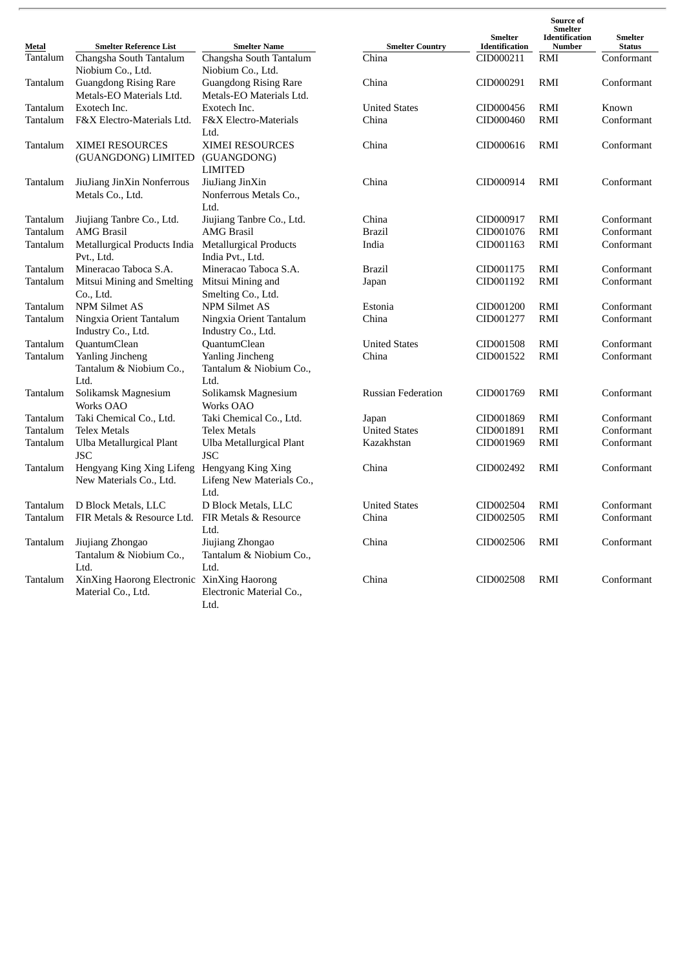| Metal    | <b>Smelter Reference List</b>                                    | <b>Smelter Name</b>                                      | <b>Smelter Country</b>    | <b>Smelter</b><br>Identification | Source of<br><b>Smelter</b><br><b>Identification</b><br>Number | <b>Smelter</b><br><b>Status</b> |
|----------|------------------------------------------------------------------|----------------------------------------------------------|---------------------------|----------------------------------|----------------------------------------------------------------|---------------------------------|
| Tantalum | Changsha South Tantalum<br>Niobium Co., Ltd.                     | Changsha South Tantalum<br>Niobium Co., Ltd.             | China                     | CID000211                        | RMI                                                            | Conformant                      |
| Tantalum | <b>Guangdong Rising Rare</b><br>Metals-EO Materials Ltd.         | <b>Guangdong Rising Rare</b><br>Metals-EO Materials Ltd. | China                     | CID000291                        | RMI                                                            | Conformant                      |
| Tantalum | Exotech Inc.                                                     | Exotech Inc.                                             | <b>United States</b>      | CID000456                        | RMI                                                            | Known                           |
| Tantalum | F&X Electro-Materials Ltd.                                       | F&X Electro-Materials<br>Ltd.                            | China                     | CID000460                        | RMI                                                            | Conformant                      |
| Tantalum | <b>XIMEI RESOURCES</b><br>(GUANGDONG) LIMITED                    | <b>XIMEI RESOURCES</b><br>(GUANGDONG)<br><b>LIMITED</b>  | China                     | CID000616                        | RMI                                                            | Conformant                      |
| Tantalum | JiuJiang JinXin Nonferrous<br>Metals Co., Ltd.                   | JiuJiang JinXin<br>Nonferrous Metals Co.,<br>Ltd.        | China                     | CID000914                        | RMI                                                            | Conformant                      |
| Tantalum | Jiujiang Tanbre Co., Ltd.                                        | Jiujiang Tanbre Co., Ltd.                                | China                     | CID000917                        | RMI                                                            | Conformant                      |
| Tantalum | <b>AMG</b> Brasil                                                | <b>AMG</b> Brasil                                        | <b>Brazil</b>             | CID001076                        | RMI                                                            | Conformant                      |
| Tantalum | Metallurgical Products India<br>Pvt., Ltd.                       | Metallurgical Products<br>India Pvt., Ltd.               | India                     | CID001163                        | RMI                                                            | Conformant                      |
| Tantalum | Mineracao Taboca S.A.                                            | Mineracao Taboca S.A.                                    | Brazil                    | CID001175                        | RMI                                                            | Conformant                      |
| Tantalum | Mitsui Mining and Smelting<br>Co., Ltd.                          | Mitsui Mining and<br>Smelting Co., Ltd.                  | Japan                     | CID001192                        | RMI                                                            | Conformant                      |
| Tantalum | <b>NPM Silmet AS</b>                                             | <b>NPM Silmet AS</b>                                     | Estonia                   | CID001200                        | RMI                                                            | Conformant                      |
| Tantalum | Ningxia Orient Tantalum<br>Industry Co., Ltd.                    | Ningxia Orient Tantalum<br>Industry Co., Ltd.            | China                     | CID001277                        | RMI                                                            | Conformant                      |
| Tantalum | <b>QuantumClean</b>                                              | QuantumClean                                             | <b>United States</b>      | CID001508                        | RMI                                                            | Conformant                      |
| Tantalum | Yanling Jincheng<br>Tantalum & Niobium Co.,<br>Ltd.              | Yanling Jincheng<br>Tantalum & Niobium Co.,<br>Ltd.      | China                     | CID001522                        | RMI                                                            | Conformant                      |
| Tantalum | Solikamsk Magnesium<br>Works OAO                                 | Solikamsk Magnesium<br>Works OAO                         | <b>Russian Federation</b> | CID001769                        | RMI                                                            | Conformant                      |
| Tantalum | Taki Chemical Co., Ltd.                                          | Taki Chemical Co., Ltd.                                  | Japan                     | CID001869                        | RMI                                                            | Conformant                      |
| Tantalum | <b>Telex Metals</b>                                              | <b>Telex Metals</b>                                      | <b>United States</b>      | CID001891                        | RMI                                                            | Conformant                      |
| Tantalum | Ulba Metallurgical Plant<br><b>JSC</b>                           | Ulba Metallurgical Plant<br><b>JSC</b>                   | Kazakhstan                | CID001969                        | RMI                                                            | Conformant                      |
| Tantalum | Hengyang King Xing Lifeng<br>New Materials Co., Ltd.             | Hengyang King Xing<br>Lifeng New Materials Co.,<br>Ltd.  | China                     | CID002492                        | RMI                                                            | Conformant                      |
| Tantalum | D Block Metals, LLC                                              | D Block Metals, LLC                                      | <b>United States</b>      | CID002504                        | RMI                                                            | Conformant                      |
| Tantalum | FIR Metals & Resource Ltd.                                       | FIR Metals & Resource<br>Ltd.                            | China                     | CID002505                        | RMI                                                            | Conformant                      |
| Tantalum | Jiujiang Zhongao<br>Tantalum & Niobium Co.,<br>Ltd.              | Jiujiang Zhongao<br>Tantalum & Niobium Co.,<br>Ltd.      | China                     | CID002506                        | RMI                                                            | Conformant                      |
| Tantalum | XinXing Haorong Electronic XinXing Haorong<br>Material Co., Ltd. | Electronic Material Co.,<br>Ltd.                         | China                     | CID002508                        | RMI                                                            | Conformant                      |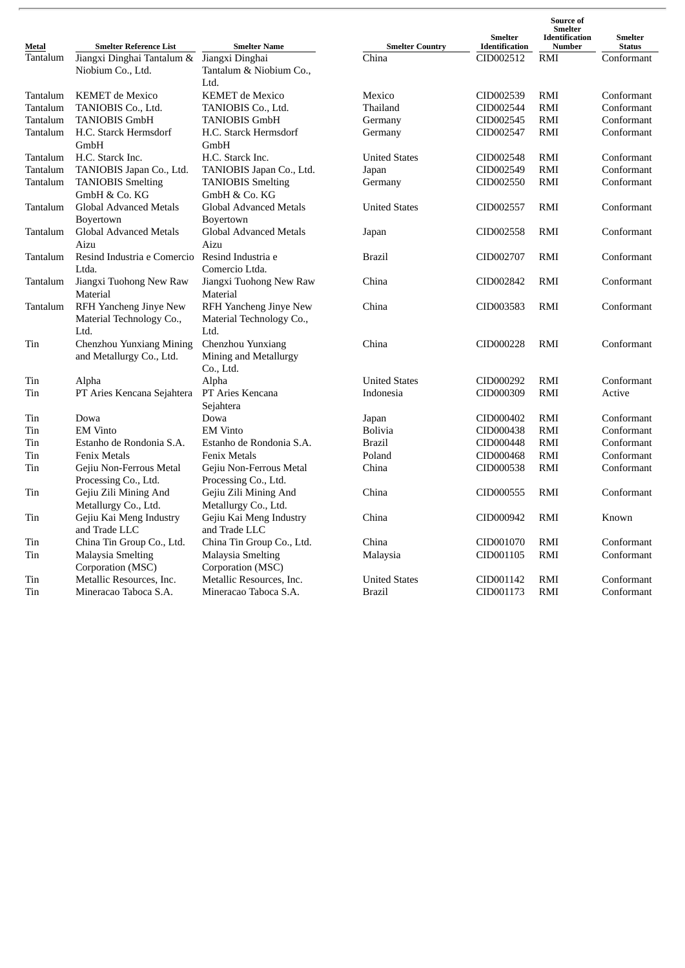| Metal    | <b>Smelter Reference List</b>                           | <b>Smelter Name</b>                                     | <b>Smelter Country</b> | <b>Smelter</b><br>Identification | Source of<br>Smelter<br><b>Identification</b><br><b>Number</b> | <b>Smelter</b><br><b>Status</b> |
|----------|---------------------------------------------------------|---------------------------------------------------------|------------------------|----------------------------------|----------------------------------------------------------------|---------------------------------|
| Tantalum | Jiangxi Dinghai Tantalum & Jiangxi Dinghai              |                                                         | China                  | CID002512                        | RMI                                                            | Conformant                      |
|          | Niobium Co., Ltd.                                       | Tantalum & Niobium Co.,<br>Ltd.                         |                        |                                  |                                                                |                                 |
| Tantalum | KEMET de Mexico                                         | <b>KEMET</b> de Mexico                                  | Mexico                 | CID002539                        | RMI                                                            | Conformant                      |
| Tantalum | TANIOBIS Co., Ltd.                                      | TANIOBIS Co., Ltd.                                      | Thailand               | CID002544                        | RMI                                                            | Conformant                      |
| Tantalum | <b>TANIOBIS GmbH</b>                                    | <b>TANIOBIS GmbH</b>                                    | Germany                | CID002545                        | RMI                                                            | Conformant                      |
| Tantalum | H.C. Starck Hermsdorf                                   | H.C. Starck Hermsdorf                                   | Germany                | CID002547                        | RMI                                                            | Conformant                      |
|          | GmbH                                                    | GmbH                                                    |                        |                                  |                                                                |                                 |
| Tantalum | H.C. Starck Inc.                                        | H.C. Starck Inc.                                        | <b>United States</b>   | CID002548                        | RMI                                                            | Conformant                      |
| Tantalum | TANIOBIS Japan Co., Ltd.                                | TANIOBIS Japan Co., Ltd.                                | Japan                  | CID002549                        | RMI                                                            | Conformant                      |
| Tantalum | <b>TANIOBIS Smelting</b>                                | <b>TANIOBIS Smelting</b>                                | Germany                | CID002550                        | RMI                                                            | Conformant                      |
|          | GmbH & Co. KG                                           | GmbH & Co. KG                                           |                        |                                  |                                                                |                                 |
| Tantalum | Global Advanced Metals<br>Boyertown                     | Global Advanced Metals<br>Boyertown                     | <b>United States</b>   | CID002557                        | RMI                                                            | Conformant                      |
| Tantalum | Global Advanced Metals<br>Aizu                          | Global Advanced Metals<br>Aizu                          | Japan                  | CID002558                        | RMI                                                            | Conformant                      |
| Tantalum | Resind Industria e Comercio Resind Industria e<br>Ltda. | Comercio Ltda.                                          | Brazil                 | CID002707                        | RMI                                                            | Conformant                      |
| Tantalum | Jiangxi Tuohong New Raw<br>Material                     | Jiangxi Tuohong New Raw<br>Material                     | China                  | CID002842                        | RMI                                                            | Conformant                      |
| Tantalum | RFH Yancheng Jinye New<br>Material Technology Co.,      | RFH Yancheng Jinye New<br>Material Technology Co.,      | China                  | CID003583                        | RMI                                                            | Conformant                      |
|          | Ltd.                                                    | Ltd.                                                    |                        |                                  |                                                                |                                 |
| Tin      | Chenzhou Yunxiang Mining<br>and Metallurgy Co., Ltd.    | Chenzhou Yunxiang<br>Mining and Metallurgy<br>Co., Ltd. | China                  | CID000228                        | RMI                                                            | Conformant                      |
| Tin      | Alpha                                                   | Alpha                                                   | <b>United States</b>   | CID000292                        | RMI                                                            | Conformant                      |
| Tin      | PT Aries Kencana Sejahtera                              | PT Aries Kencana<br>Sejahtera                           | Indonesia              | CID000309                        | RMI                                                            | Active                          |
| Tin      | Dowa                                                    | Dowa                                                    | Japan                  | CID000402                        | RMI                                                            | Conformant                      |
| Tin      | <b>EM Vinto</b>                                         | <b>EM Vinto</b>                                         | <b>Bolivia</b>         | CID000438                        | RMI                                                            | Conformant                      |
| Tin      | Estanho de Rondonia S.A.                                | Estanho de Rondonia S.A.                                | <b>Brazil</b>          | CID000448                        | RMI                                                            | Conformant                      |
| Tin      | <b>Fenix Metals</b>                                     | <b>Fenix Metals</b>                                     | Poland                 | CID000468                        | RMI                                                            | Conformant                      |
| Tin      | Gejiu Non-Ferrous Metal                                 | Gejiu Non-Ferrous Metal                                 | China                  | CID000538                        | RMI                                                            | Conformant                      |
|          | Processing Co., Ltd.                                    | Processing Co., Ltd.                                    |                        |                                  |                                                                |                                 |
| Tin      | Gejiu Zili Mining And                                   | Gejiu Zili Mining And                                   | China                  | CID000555                        | RMI                                                            | Conformant                      |
|          | Metallurgy Co., Ltd.                                    | Metallurgy Co., Ltd.                                    |                        |                                  |                                                                |                                 |
| Tin      | Gejiu Kai Meng Industry<br>and Trade LLC                | Gejiu Kai Meng Industry<br>and Trade LLC                | China                  | CID000942                        | RMI                                                            | Known                           |
| Tin      | China Tin Group Co., Ltd.                               | China Tin Group Co., Ltd.                               | China                  | CID001070                        | RMI                                                            | Conformant                      |
| Tin      | Malaysia Smelting<br>Corporation (MSC)                  | Malaysia Smelting<br>Corporation (MSC)                  | Malaysia               | CID001105                        | RMI                                                            | Conformant                      |
| Tin      | Metallic Resources, Inc.                                | Metallic Resources, Inc.                                | <b>United States</b>   | CID001142                        | RMI                                                            | Conformant                      |
| Tin      | Mineracao Taboca S.A.                                   | Mineracao Taboca S.A.                                   | Brazil                 | CID001173                        | RMI                                                            | Conformant                      |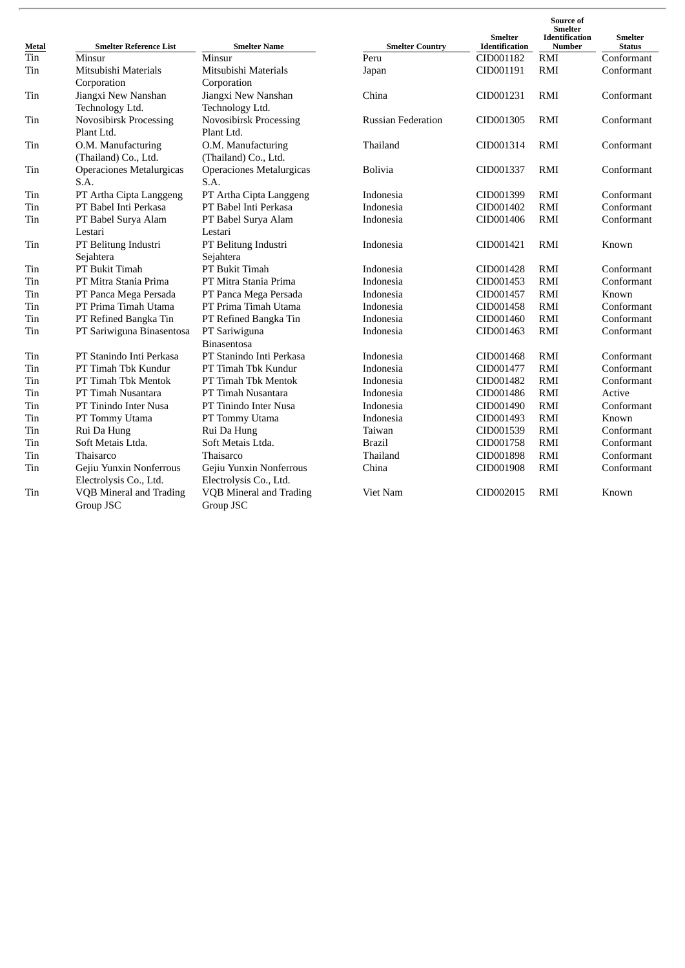| Metal | <b>Smelter Reference List</b>   | <b>Smelter Name</b>             | <b>Smelter Country</b>    | <b>Smelter</b><br><b>Identification</b> | Source of<br>Smelter<br><b>Identification</b><br>Number | <b>Smelter</b><br><b>Status</b> |
|-------|---------------------------------|---------------------------------|---------------------------|-----------------------------------------|---------------------------------------------------------|---------------------------------|
| Tin   | Minsur                          | Minsur                          | Peru                      | CID001182                               | <b>RMI</b>                                              | Conformant                      |
| Tin   | Mitsubishi Materials            | Mitsubishi Materials            | Japan                     | CID001191                               | <b>RMI</b>                                              | Conformant                      |
|       | Corporation                     | Corporation                     |                           |                                         |                                                         |                                 |
| Tin   | Jiangxi New Nanshan             | Jiangxi New Nanshan             | China                     | CID001231                               | <b>RMI</b>                                              | Conformant                      |
|       | Technology Ltd.                 | Technology Ltd.                 |                           |                                         |                                                         |                                 |
| Tin   | <b>Novosibirsk Processing</b>   | Novosibirsk Processing          | <b>Russian Federation</b> | CID001305                               | RMI                                                     | Conformant                      |
|       | Plant Ltd.                      | Plant Ltd.                      |                           |                                         |                                                         |                                 |
| Tin   | O.M. Manufacturing              | O.M. Manufacturing              | Thailand                  | CID001314                               | RMI                                                     | Conformant                      |
|       | (Thailand) Co., Ltd.            | (Thailand) Co., Ltd.            |                           |                                         |                                                         |                                 |
| Tin   | <b>Operaciones Metalurgicas</b> | <b>Operaciones Metalurgicas</b> | Bolivia                   | CID001337                               | RMI                                                     | Conformant                      |
|       | S.A.                            | S.A.                            |                           |                                         |                                                         |                                 |
| Tin   | PT Artha Cipta Langgeng         | PT Artha Cipta Langgeng         | Indonesia                 | CID001399                               | <b>RMI</b>                                              | Conformant                      |
| Tin   | PT Babel Inti Perkasa           | PT Babel Inti Perkasa           | <b>Indonesia</b>          | CID001402                               | RMI                                                     | Conformant                      |
| Tin   | PT Babel Surya Alam             | PT Babel Surya Alam             | Indonesia                 | CID001406                               | <b>RMI</b>                                              | Conformant                      |
|       | Lestari                         | Lestari                         |                           |                                         |                                                         |                                 |
| Tin   | PT Belitung Industri            | PT Belitung Industri            | Indonesia                 | CID001421                               | <b>RMI</b>                                              | Known                           |
|       | Sejahtera                       | Sejahtera                       |                           |                                         |                                                         |                                 |
| Tin   | PT Bukit Timah                  | PT Bukit Timah                  | Indonesia                 | CID001428                               | RMI                                                     | Conformant                      |
| Tin   | PT Mitra Stania Prima           | PT Mitra Stania Prima           | Indonesia                 | CID001453                               | RMI                                                     | Conformant                      |
| Tin   | PT Panca Mega Persada           | PT Panca Mega Persada           | Indonesia                 | CID001457                               | <b>RMI</b>                                              | Known                           |
| Tin   | PT Prima Timah Utama            | PT Prima Timah Utama            | Indonesia                 | CID001458                               | RMI                                                     | Conformant                      |
| Tin   | PT Refined Bangka Tin           | PT Refined Bangka Tin           | Indonesia                 | CID001460                               | <b>RMI</b>                                              | Conformant                      |
| Tin   | PT Sariwiguna Binasentosa       | PT Sariwiguna                   | Indonesia                 | CID001463                               | <b>RMI</b>                                              | Conformant                      |
|       |                                 | <b>Binasentosa</b>              |                           |                                         |                                                         |                                 |
| Tin   | PT Stanindo Inti Perkasa        | PT Stanindo Inti Perkasa        | Indonesia                 | CID001468                               | RMI                                                     | Conformant                      |
| Tin   | PT Timah Tbk Kundur             | PT Timah Tbk Kundur             | Indonesia                 | CID001477                               | RMI                                                     | Conformant                      |
| Tin   | PT Timah Tbk Mentok             | PT Timah Tbk Mentok             | Indonesia                 | CID001482                               | RMI                                                     | Conformant                      |
| Tin   | PT Timah Nusantara              | PT Timah Nusantara              | Indonesia                 | CID001486                               | <b>RMI</b>                                              | Active                          |
| Tin   | PT Tinindo Inter Nusa           | PT Tinindo Inter Nusa           | Indonesia                 | CID001490                               | <b>RMI</b>                                              | Conformant                      |
| Tin   | PT Tommy Utama                  | PT Tommy Utama                  | Indonesia                 | CID001493                               | <b>RMI</b>                                              | Known                           |
| Tin   | Rui Da Hung                     | Rui Da Hung                     | Taiwan                    | CID001539                               | RMI                                                     | Conformant                      |
| Tin   | Soft Metais Ltda.               | Soft Metais Ltda.               | <b>Brazil</b>             | CID001758                               | RMI                                                     | Conformant                      |
| Tin   | Thaisarco                       | Thaisarco                       | Thailand                  | CID001898                               | <b>RMI</b>                                              | Conformant                      |
| Tin   | Gejiu Yunxin Nonferrous         | Gejiu Yunxin Nonferrous         | China                     | CID001908                               | <b>RMI</b>                                              | Conformant                      |
|       | Electrolysis Co., Ltd.          | Electrolysis Co., Ltd.          |                           |                                         |                                                         |                                 |
| Tin   | VQB Mineral and Trading         | VQB Mineral and Trading         | Viet Nam                  | CID002015                               | RMI                                                     | Known                           |
|       | Group JSC                       | Group JSC                       |                           |                                         |                                                         |                                 |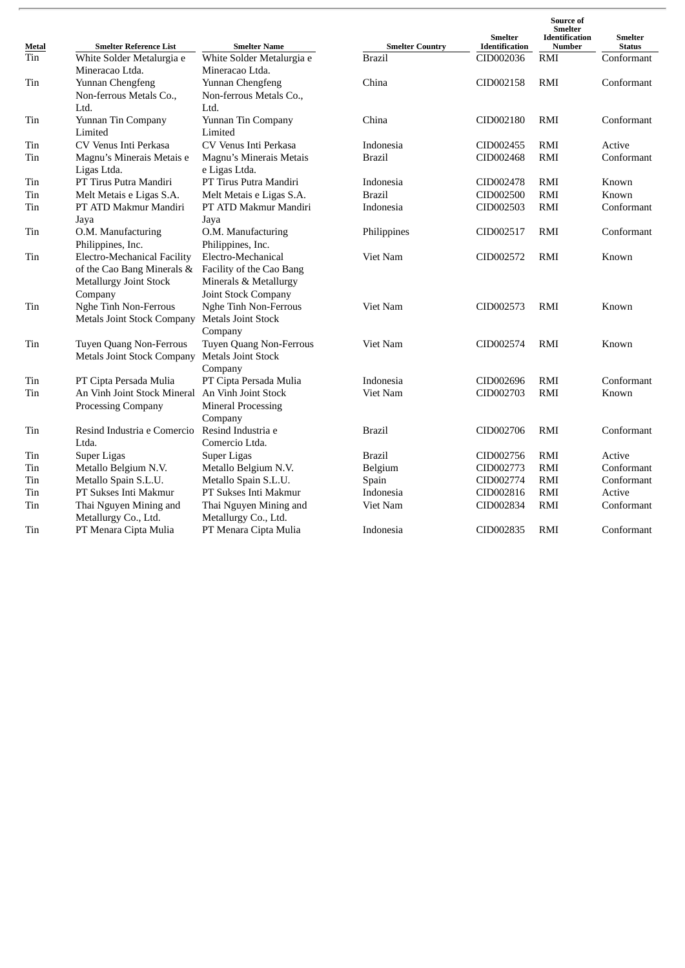| Metal | <b>Smelter Reference List</b>                       | <b>Smelter Name</b>                                 | <b>Smelter Country</b> | <b>Smelter</b><br><b>Identification</b> | Source of<br>Smelter<br><b>Identification</b><br><b>Number</b> | <b>Smelter</b><br><b>Status</b> |
|-------|-----------------------------------------------------|-----------------------------------------------------|------------------------|-----------------------------------------|----------------------------------------------------------------|---------------------------------|
| Tin   | White Solder Metalurgia e                           | White Solder Metalurgia e                           | <b>Brazil</b>          | CID002036                               | RMI                                                            | Conformant                      |
|       | Mineracao Ltda.                                     | Mineracao Ltda.                                     |                        |                                         |                                                                |                                 |
| Tin   | Yunnan Chengfeng<br>Non-ferrous Metals Co.,<br>Ltd. | Yunnan Chengfeng<br>Non-ferrous Metals Co.,<br>Ltd. | China                  | CID002158                               | RMI                                                            | Conformant                      |
| Tin   | Yunnan Tin Company                                  | Yunnan Tin Company                                  | China                  | CID002180                               | RMI                                                            | Conformant                      |
|       | Limited                                             | Limited                                             |                        |                                         |                                                                |                                 |
| Tin   | CV Venus Inti Perkasa                               | CV Venus Inti Perkasa                               | Indonesia              | CID002455                               | RMI                                                            | Active                          |
| Tin   | Magnu's Minerais Metais e                           | Magnu's Minerais Metais                             | <b>Brazil</b>          | CID002468                               | RMI                                                            | Conformant                      |
|       | Ligas Ltda.                                         | e Ligas Ltda.                                       |                        |                                         |                                                                |                                 |
| Tin   | PT Tirus Putra Mandiri                              | PT Tirus Putra Mandiri                              | Indonesia              | CID002478                               | RMI                                                            | Known                           |
| Tin   | Melt Metais e Ligas S.A.                            | Melt Metais e Ligas S.A.                            | <b>Brazil</b>          | CID002500                               | RMI                                                            | Known                           |
| Tin   | PT ATD Makmur Mandiri                               | PT ATD Makmur Mandiri                               | Indonesia              | CID002503                               | RMI                                                            | Conformant                      |
|       | Jaya                                                | Jaya                                                |                        |                                         |                                                                |                                 |
| Tin   | O.M. Manufacturing                                  | O.M. Manufacturing                                  | Philippines            | CID002517                               | RMI                                                            | Conformant                      |
|       | Philippines, Inc.                                   | Philippines, Inc.                                   |                        |                                         |                                                                |                                 |
| Tin   | Electro-Mechanical Facility                         | Electro-Mechanical                                  | Viet Nam               | CID002572                               | <b>RMI</b>                                                     | Known                           |
|       | of the Cao Bang Minerals &                          | Facility of the Cao Bang                            |                        |                                         |                                                                |                                 |
|       | <b>Metallurgy Joint Stock</b>                       | Minerals & Metallurgy                               |                        |                                         |                                                                |                                 |
|       | Company                                             | Joint Stock Company                                 |                        |                                         |                                                                |                                 |
| Tin   | Nghe Tinh Non-Ferrous                               | Nghe Tinh Non-Ferrous                               | Viet Nam               | CID002573                               | RMI                                                            | Known                           |
|       | <b>Metals Joint Stock Company</b>                   | <b>Metals Joint Stock</b>                           |                        |                                         |                                                                |                                 |
|       |                                                     | Company                                             |                        |                                         |                                                                |                                 |
| Tin   | Tuyen Quang Non-Ferrous                             | Tuyen Quang Non-Ferrous                             | Viet Nam               | CID002574                               | RMI                                                            | Known                           |
|       | <b>Metals Joint Stock Company</b>                   | <b>Metals Joint Stock</b>                           |                        |                                         |                                                                |                                 |
|       |                                                     | Company                                             |                        |                                         |                                                                |                                 |
| Tin   | PT Cipta Persada Mulia                              | PT Cipta Persada Mulia                              | Indonesia              | CID002696                               | <b>RMI</b>                                                     | Conformant                      |
| Tin   | An Vinh Joint Stock Mineral An Vinh Joint Stock     |                                                     | Viet Nam               | CID002703                               | RMI                                                            | Known                           |
|       | Processing Company                                  | <b>Mineral Processing</b>                           |                        |                                         |                                                                |                                 |
|       |                                                     | Company                                             |                        |                                         |                                                                |                                 |
| Tin   | Resind Industria e Comercio                         | Resind Industria e                                  | Brazil                 | CID002706                               | RMI                                                            | Conformant                      |
|       | Ltda.                                               | Comercio Ltda.                                      |                        |                                         |                                                                |                                 |
| Tin   | Super Ligas                                         | Super Ligas                                         | <b>Brazil</b>          | CID002756                               | RMI                                                            | Active                          |
| Tin   | Metallo Belgium N.V.                                | Metallo Belgium N.V.                                | Belgium                | CID002773                               | RMI                                                            | Conformant                      |
| Tin   | Metallo Spain S.L.U.                                | Metallo Spain S.L.U.                                | Spain                  | CID002774                               | <b>RMI</b>                                                     | Conformant                      |
| Tin   | PT Sukses Inti Makmur                               | PT Sukses Inti Makmur                               | Indonesia              | CID002816                               | <b>RMI</b>                                                     | Active                          |
| Tin   | Thai Nguyen Mining and                              | Thai Nguyen Mining and                              | Viet Nam               | CID002834                               | RMI                                                            | Conformant                      |
|       | Metallurgy Co., Ltd.                                | Metallurgy Co., Ltd.                                |                        |                                         |                                                                |                                 |
| Tin   | PT Menara Cipta Mulia                               | PT Menara Cipta Mulia                               | Indonesia              | CID002835                               | RMI                                                            | Conformant                      |
|       |                                                     |                                                     |                        |                                         |                                                                |                                 |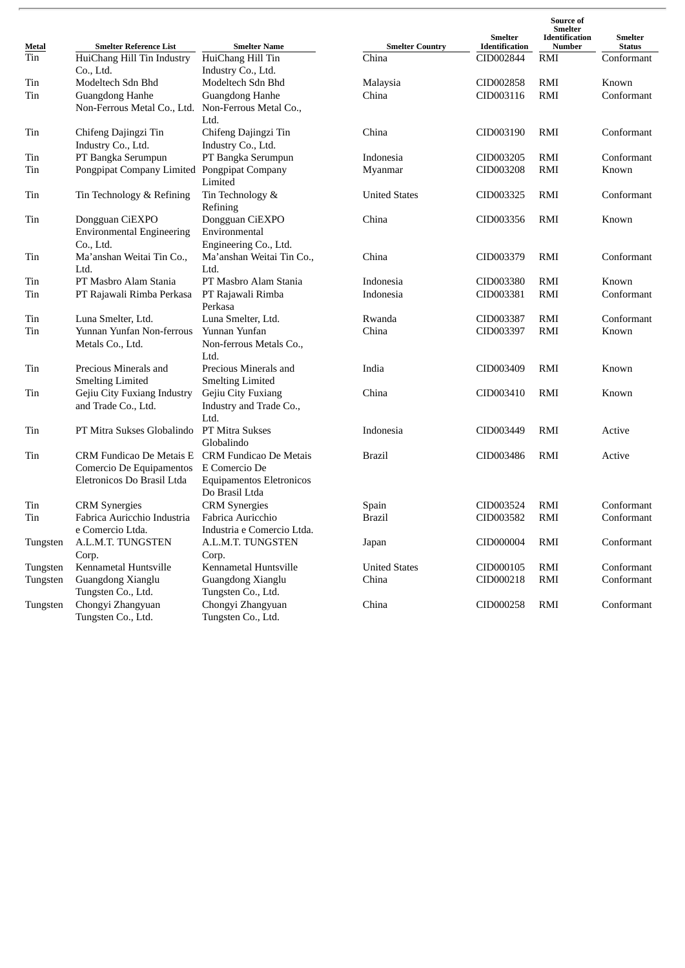| Metal    | <b>Smelter Reference List</b>    | <b>Smelter Name</b>             | <b>Smelter Country</b> | <b>Smelter</b><br><b>Identification</b> | Source of<br><b>Smelter</b><br>Identification<br>Number | <b>Smelter</b><br><b>Status</b> |
|----------|----------------------------------|---------------------------------|------------------------|-----------------------------------------|---------------------------------------------------------|---------------------------------|
| Tin      | HuiChang Hill Tin Industry       | HuiChang Hill Tin               | China                  | CID002844                               | RMI                                                     | Conformant                      |
|          | Co., Ltd.                        | Industry Co., Ltd.              |                        |                                         |                                                         |                                 |
| Tin      | Modeltech Sdn Bhd                | Modeltech Sdn Bhd               | Malaysia               | CID002858                               | RMI                                                     | Known                           |
| Tin      | Guangdong Hanhe                  | Guangdong Hanhe                 | China                  | CID003116                               | RMI                                                     | Conformant                      |
|          | Non-Ferrous Metal Co., Ltd.      | Non-Ferrous Metal Co.,          |                        |                                         |                                                         |                                 |
|          |                                  | Ltd.                            |                        |                                         |                                                         |                                 |
| Tin      | Chifeng Dajingzi Tin             | Chifeng Dajingzi Tin            | China                  | CID003190                               | RMI                                                     | Conformant                      |
|          | Industry Co., Ltd.               | Industry Co., Ltd.              |                        |                                         |                                                         |                                 |
| Tin      | PT Bangka Serumpun               | PT Bangka Serumpun              | Indonesia              | CID003205                               | RMI                                                     | Conformant                      |
| Tin      | Pongpipat Company Limited        | Pongpipat Company               | Myanmar                | CID003208                               | RMI                                                     | Known                           |
|          |                                  | Limited                         |                        |                                         |                                                         |                                 |
| Tin      | Tin Technology & Refining        | Tin Technology &                | <b>United States</b>   | CID003325                               | RMI                                                     | Conformant                      |
|          |                                  | Refining                        |                        |                                         |                                                         |                                 |
| Tin      | Dongguan CiEXPO                  | Dongguan CiEXPO                 | China                  | CID003356                               | RMI                                                     | Known                           |
|          | <b>Environmental Engineering</b> | Environmental                   |                        |                                         |                                                         |                                 |
|          | Co., Ltd.                        | Engineering Co., Ltd.           |                        |                                         |                                                         |                                 |
| Tin      | Ma'anshan Weitai Tin Co.,        | Ma'anshan Weitai Tin Co.,       | China                  | CID003379                               | <b>RMI</b>                                              | Conformant                      |
|          | Ltd.                             | Ltd.                            |                        |                                         |                                                         |                                 |
| Tin      | PT Masbro Alam Stania            | PT Masbro Alam Stania           | Indonesia              | CID003380                               | RMI                                                     | Known                           |
| Tin      | PT Rajawali Rimba Perkasa        | PT Rajawali Rimba               | Indonesia              | CID003381                               | RMI                                                     | Conformant                      |
|          |                                  | Perkasa                         |                        |                                         |                                                         |                                 |
| Tin      | Luna Smelter, Ltd.               | Luna Smelter, Ltd.              | Rwanda                 | CID003387                               | RMI                                                     | Conformant                      |
| Tin      | Yunnan Yunfan Non-ferrous        | Yunnan Yunfan                   | China                  | CID003397                               | RMI                                                     | Known                           |
|          | Metals Co., Ltd.                 | Non-ferrous Metals Co.,         |                        |                                         |                                                         |                                 |
|          |                                  | Ltd.                            |                        |                                         |                                                         |                                 |
| Tin      | Precious Minerals and            | Precious Minerals and           | India                  | CID003409                               | RMI                                                     | Known                           |
|          | <b>Smelting Limited</b>          | <b>Smelting Limited</b>         |                        |                                         |                                                         |                                 |
| Tin      | Gejiu City Fuxiang Industry      | Gejiu City Fuxiang              | China                  | CID003410                               | <b>RMI</b>                                              | Known                           |
|          | and Trade Co., Ltd.              | Industry and Trade Co.,         |                        |                                         |                                                         |                                 |
|          |                                  | Ltd.                            |                        |                                         |                                                         |                                 |
| Tin      | PT Mitra Sukses Globalindo       | PT Mitra Sukses                 | Indonesia              | CID003449                               | RMI                                                     | Active                          |
|          |                                  | Globalindo                      |                        |                                         |                                                         |                                 |
| Tin      | CRM Fundicao De Metais E         | <b>CRM Fundicao De Metais</b>   | Brazil                 | CID003486                               | RMI                                                     | Active                          |
|          | Comercio De Equipamentos         | E Comercio De                   |                        |                                         |                                                         |                                 |
|          | Eletronicos Do Brasil Ltda       | <b>Equipamentos Eletronicos</b> |                        |                                         |                                                         |                                 |
|          |                                  | Do Brasil Ltda                  |                        |                                         |                                                         |                                 |
| Tin      | <b>CRM</b> Synergies             | <b>CRM</b> Synergies            | Spain                  | CID003524                               | RMI                                                     | Conformant                      |
| Tin      | Fabrica Auricchio Industria      | Fabrica Auricchio               | <b>Brazil</b>          | CID003582                               | RMI                                                     | Conformant                      |
|          | e Comercio Ltda.                 | Industria e Comercio Ltda.      |                        |                                         |                                                         |                                 |
| Tungsten | A.L.M.T. TUNGSTEN                | A.L.M.T. TUNGSTEN               | Japan                  | CID000004                               | RMI                                                     | Conformant                      |
|          | Corp.                            | Corp.                           |                        |                                         |                                                         |                                 |
| Tungsten | Kennametal Huntsville            | Kennametal Huntsville           | <b>United States</b>   | CID000105                               | RMI                                                     | Conformant                      |
| Tungsten | Guangdong Xianglu                | Guangdong Xianglu               | China                  | CID000218                               | RMI                                                     | Conformant                      |
|          | Tungsten Co., Ltd.               | Tungsten Co., Ltd.              |                        |                                         |                                                         |                                 |
| Tungsten | Chongyi Zhangyuan                | Chongyi Zhangyuan               | China                  | CID000258                               | RMI                                                     | Conformant                      |
|          | Tungsten Co., Ltd.               | Tungsten Co., Ltd.              |                        |                                         |                                                         |                                 |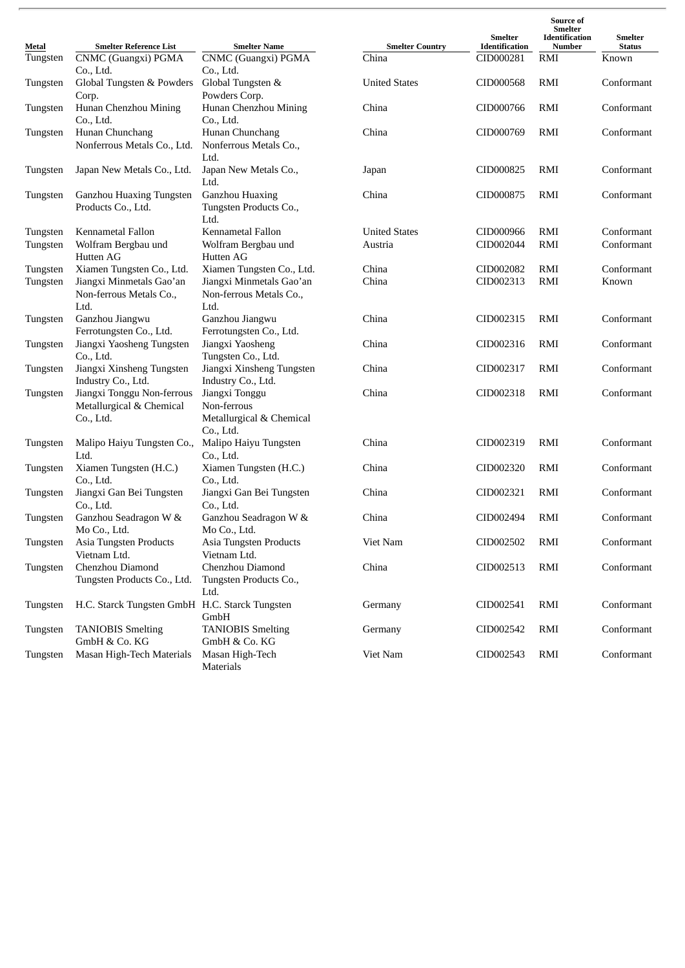| Metal    | <b>Smelter Reference List</b>                   | <b>Smelter Name</b>                             | <b>Smelter Country</b> | <b>Smelter</b><br>Identification | Source of<br>Smelter<br>Identification<br>Number | <b>Smelter</b><br><b>Status</b> |
|----------|-------------------------------------------------|-------------------------------------------------|------------------------|----------------------------------|--------------------------------------------------|---------------------------------|
| Tungsten | CNMC (Guangxi) PGMA                             | CNMC (Guangxi) PGMA                             | China                  | CID000281                        | RMI                                              | Known                           |
|          | Co., Ltd.                                       | Co., Ltd.                                       |                        |                                  |                                                  |                                 |
| Tungsten | Global Tungsten & Powders                       | Global Tungsten &                               | <b>United States</b>   | CID000568                        | RMI                                              | Conformant                      |
|          | Corp.                                           | Powders Corp.                                   |                        |                                  |                                                  |                                 |
| Tungsten | Hunan Chenzhou Mining                           | Hunan Chenzhou Mining                           | China                  | CID000766                        | RMI                                              | Conformant                      |
|          | Co., Ltd.<br>Hunan Chunchang                    | Co., Ltd.<br>Hunan Chunchang                    | China                  | CID000769                        | RMI                                              | Conformant                      |
| Tungsten | Nonferrous Metals Co., Ltd.                     | Nonferrous Metals Co.,<br>Ltd.                  |                        |                                  |                                                  |                                 |
|          | Japan New Metals Co., Ltd.                      | Japan New Metals Co.,                           | Japan                  | CID000825                        | RMI                                              | Conformant                      |
| Tungsten |                                                 | Ltd.                                            |                        |                                  |                                                  |                                 |
| Tungsten | Ganzhou Huaxing Tungsten                        | Ganzhou Huaxing                                 | China                  | CID000875                        | RMI                                              | Conformant                      |
|          | Products Co., Ltd.                              | Tungsten Products Co.,<br>Ltd.                  |                        |                                  |                                                  |                                 |
| Tungsten | Kennametal Fallon                               | Kennametal Fallon                               | <b>United States</b>   | CID000966                        | RMI                                              | Conformant                      |
| Tungsten | Wolfram Bergbau und                             | Wolfram Bergbau und                             | Austria                | CID002044                        | RMI                                              | Conformant                      |
|          | Hutten AG                                       | Hutten AG                                       |                        |                                  |                                                  |                                 |
| Tungsten | Xiamen Tungsten Co., Ltd.                       | Xiamen Tungsten Co., Ltd.                       | China                  | CID002082                        | RMI                                              | Conformant                      |
| Tungsten | Jiangxi Minmetals Gao'an                        | Jiangxi Minmetals Gao'an                        | China                  | CID002313                        | RMI                                              | Known                           |
|          | Non-ferrous Metals Co.,                         | Non-ferrous Metals Co.,                         |                        |                                  |                                                  |                                 |
|          | Ltd.                                            | Ltd.                                            |                        |                                  |                                                  |                                 |
| Tungsten | Ganzhou Jiangwu                                 | Ganzhou Jiangwu                                 | China                  | CID002315                        | RMI                                              | Conformant                      |
|          | Ferrotungsten Co., Ltd.                         | Ferrotungsten Co., Ltd.                         |                        |                                  |                                                  |                                 |
| Tungsten | Jiangxi Yaosheng Tungsten                       | Jiangxi Yaosheng                                | China                  | CID002316                        | RMI                                              | Conformant                      |
|          | Co., Ltd.                                       | Tungsten Co., Ltd.<br>Jiangxi Xinsheng Tungsten | China                  | CID002317                        | RMI                                              | Conformant                      |
| Tungsten | Jiangxi Xinsheng Tungsten<br>Industry Co., Ltd. | Industry Co., Ltd.                              |                        |                                  |                                                  |                                 |
| Tungsten | Jiangxi Tonggu Non-ferrous                      | Jiangxi Tonggu                                  | China                  | CID002318                        | RMI                                              | Conformant                      |
|          | Metallurgical & Chemical                        | Non-ferrous                                     |                        |                                  |                                                  |                                 |
|          | Co., Ltd.                                       | Metallurgical & Chemical                        |                        |                                  |                                                  |                                 |
|          |                                                 | Co., Ltd.                                       |                        |                                  |                                                  |                                 |
| Tungsten | Malipo Haiyu Tungsten Co.,                      | Malipo Haiyu Tungsten                           | China                  | CID002319                        | RMI                                              | Conformant                      |
|          | Ltd.                                            | Co., Ltd.                                       |                        |                                  |                                                  |                                 |
| Tungsten | Xiamen Tungsten (H.C.)                          | Xiamen Tungsten (H.C.)                          | China                  | CID002320                        | RMI                                              | Conformant                      |
|          | Co., Ltd.                                       | Co., Ltd.                                       |                        |                                  |                                                  |                                 |
| Tungsten | Jiangxi Gan Bei Tungsten                        | Jiangxi Gan Bei Tungsten                        | China                  | CID002321                        | RMI                                              | Conformant                      |
|          | Co., Ltd.                                       | Co., Ltd.                                       |                        |                                  |                                                  |                                 |
| Tungsten | Ganzhou Seadragon W &                           | Ganzhou Seadragon W &                           | China                  | CID002494                        | RMI                                              | Conformant                      |
|          | Mo Co., Ltd.                                    | Mo Co., Ltd.                                    |                        |                                  |                                                  |                                 |
| Tungsten | Asia Tungsten Products                          | Asia Tungsten Products                          | Viet Nam               | CID002502                        | RMI                                              | Conformant                      |
|          | Vietnam Ltd.                                    | Vietnam Ltd.                                    |                        |                                  |                                                  |                                 |
| Tungsten | Chenzhou Diamond                                | Chenzhou Diamond                                | China                  | CID002513                        | RMI                                              | Conformant                      |
|          | Tungsten Products Co., Ltd.                     | Tungsten Products Co.,                          |                        |                                  |                                                  |                                 |
|          |                                                 | Ltd.                                            |                        |                                  |                                                  |                                 |
| Tungsten | H.C. Starck Tungsten GmbH H.C. Starck Tungsten  | GmbH                                            | Germany                | CID002541                        | RMI                                              | Conformant                      |
| Tungsten | <b>TANIOBIS Smelting</b>                        | <b>TANIOBIS Smelting</b>                        | Germany                | CID002542                        | RMI                                              | Conformant                      |
|          | GmbH & Co. KG                                   | GmbH & Co. KG                                   |                        |                                  |                                                  |                                 |
| Tungsten | Masan High-Tech Materials                       | Masan High-Tech                                 | Viet Nam               | CID002543                        | RMI                                              | Conformant                      |
|          |                                                 | Materials                                       |                        |                                  |                                                  |                                 |